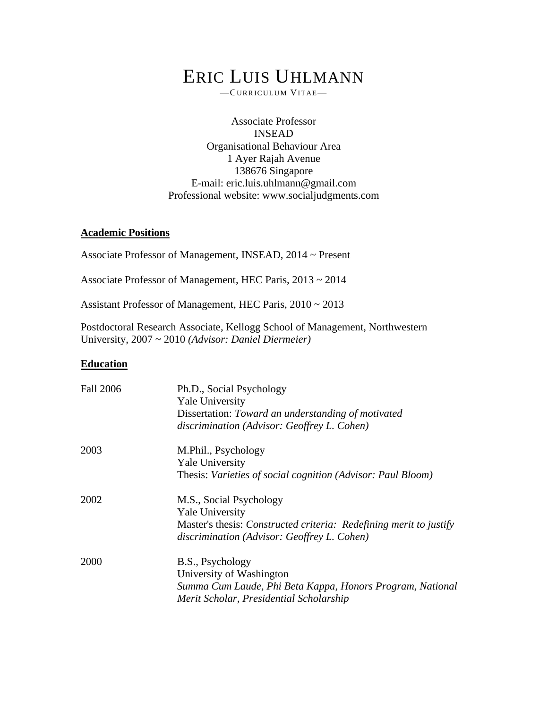# ERIC LUIS UHLMANN

—CURR IC ULUM VITAE—

Associate Professor INSEAD Organisational Behaviour Area 1 Ayer Rajah Avenue 138676 Singapore E-mail: eric.luis.uhlmann@gmail.com Professional website: www.socialjudgments.com

#### **Academic Positions**

Associate Professor of Management, INSEAD, 2014 ~ Present

Associate Professor of Management, HEC Paris, 2013 ~ 2014

Assistant Professor of Management, HEC Paris, 2010 ~ 2013

Postdoctoral Research Associate, Kellogg School of Management, Northwestern University, 2007 ~ 2010 *(Advisor: Daniel Diermeier)*

#### **Education**

| <b>Fall 2006</b> | Ph.D., Social Psychology                                           |
|------------------|--------------------------------------------------------------------|
|                  | <b>Yale University</b>                                             |
|                  | Dissertation: Toward an understanding of motivated                 |
|                  | discrimination (Advisor: Geoffrey L. Cohen)                        |
| 2003             | M.Phil., Psychology                                                |
|                  | <b>Yale University</b>                                             |
|                  | Thesis: Varieties of social cognition (Advisor: Paul Bloom)        |
| 2002             | M.S., Social Psychology                                            |
|                  | <b>Yale University</b>                                             |
|                  | Master's thesis: Constructed criteria: Redefining merit to justify |
|                  | discrimination (Advisor: Geoffrey L. Cohen)                        |
| 2000             | B.S., Psychology                                                   |
|                  | University of Washington                                           |
|                  | Summa Cum Laude, Phi Beta Kappa, Honors Program, National          |
|                  | Merit Scholar, Presidential Scholarship                            |
|                  |                                                                    |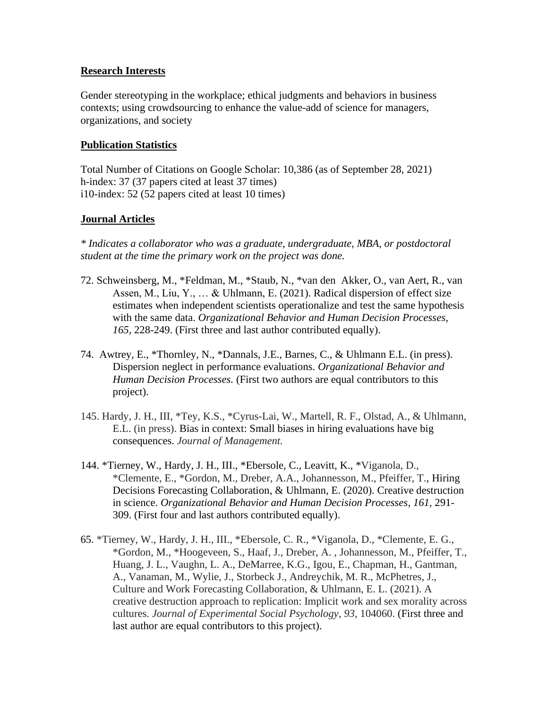#### **Research Interests**

Gender stereotyping in the workplace; ethical judgments and behaviors in business contexts; using crowdsourcing to enhance the value-add of science for managers, organizations, and society

#### **Publication Statistics**

Total Number of Citations on Google Scholar: 10,386 (as of September 28, 2021) h-index: 37 (37 papers cited at least 37 times) i10-index: 52 (52 papers cited at least 10 times)

#### **Journal Articles**

*\* Indicates a collaborator who was a graduate, undergraduate, MBA, or postdoctoral student at the time the primary work on the project was done.* 

- 72. Schweinsberg, M., \*Feldman, M., \*Staub, N., \*van den Akker, O., van Aert, R., van Assen, M., Liu, Y., … & Uhlmann, E. (2021). Radical dispersion of effect size estimates when independent scientists operationalize and test the same hypothesis with the same data. *Organizational Behavior and Human Decision Processes, 165,* 228-249. (First three and last author contributed equally).
- 74. Awtrey, E., \*Thornley, N., \*Dannals, J.E., Barnes, C., & Uhlmann E.L. (in press). Dispersion neglect in performance evaluations. *Organizational Behavior and Human Decision Processes.* (First two authors are equal contributors to this project).
- 145. Hardy, J. H., III, \*Tey, K.S., \*Cyrus-Lai, W., Martell, R. F., Olstad, A., & Uhlmann, E.L. (in press). Bias in context: Small biases in hiring evaluations have big consequences. *Journal of Management.*
- 144. \*Tierney, W., Hardy, J. H., III., \*Ebersole, C., Leavitt, K., \*Viganola, D., \*Clemente, E., \*Gordon, M., Dreber, A.A., Johannesson, M., Pfeiffer, T., Hiring Decisions Forecasting Collaboration, & Uhlmann, E. (2020). Creative destruction in science. *Organizational Behavior and Human Decision Processes, 161,* 291- 309. (First four and last authors contributed equally).
- 65. \*Tierney, W., Hardy, J. H., III., \*Ebersole, C. R., \*Viganola, D., \*Clemente, E. G., \*Gordon, M., \*Hoogeveen, S., Haaf, J., Dreber, A. , Johannesson, M., Pfeiffer, T., Huang, J. L., Vaughn, L. A., DeMarree, K.G., Igou, E., Chapman, H., Gantman, A., Vanaman, M., Wylie, J., Storbeck J., Andreychik, M. R., McPhetres, J., Culture and Work Forecasting Collaboration, & Uhlmann, E. L. (2021). A creative destruction approach to replication: Implicit work and sex morality across cultures. *Journal of Experimental Social Psychology, 93,* 104060. (First three and last author are equal contributors to this project).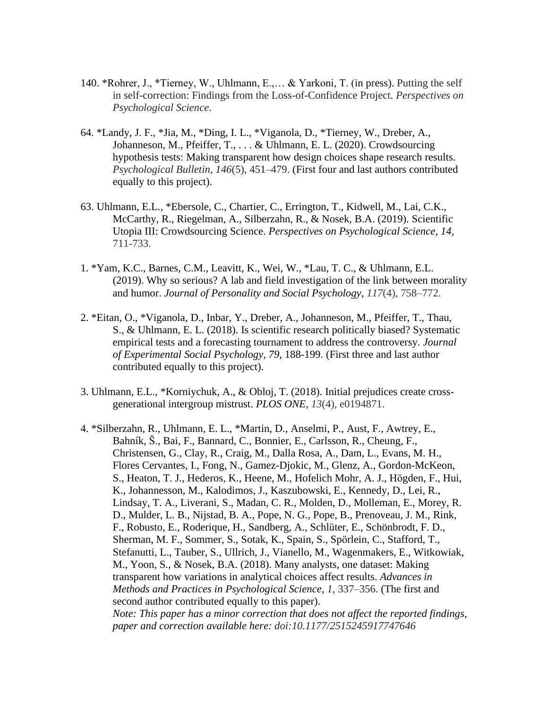- 140. \*Rohrer, J., \*Tierney, W., Uhlmann, E.,… & Yarkoni, T. (in press). Putting the self in self-correction: Findings from the Loss-of-Confidence Project. *Perspectives on Psychological Science*.
- 64. \*Landy, J. F., \*Jia, M., \*Ding, I. L., \*Viganola, D., \*Tierney, W., Dreber, A., Johanneson, M., Pfeiffer, T., . . . & Uhlmann, E. L. (2020). Crowdsourcing hypothesis tests: Making transparent how design choices shape research results. *Psychological Bulletin*, *146*(5), 451–479. (First four and last authors contributed equally to this project).
- 63. Uhlmann, E.L., \*Ebersole, C., Chartier, C., Errington, T., Kidwell, M., Lai, C.K., McCarthy, R., Riegelman, A., Silberzahn, R., & Nosek, B.A. (2019). Scientific Utopia III: Crowdsourcing Science. *Perspectives on Psychological Science, 14,*  711-733.
- 1. \*Yam, K.C., Barnes, C.M., Leavitt, K., Wei, W., \*Lau, T. C., & Uhlmann, E.L. (2019). Why so serious? A lab and field investigation of the link between morality and humor. *Journal of Personality and Social Psychology*, *117*(4), 758–772.
- 2. \*Eitan, O., \*Viganola*,* D., Inbar, Y., Dreber, A., Johanneson, M., Pfeiffer, T., Thau, S., & Uhlmann, E. L. (2018). Is scientific research politically biased? Systematic empirical tests and a forecasting tournament to address the controversy. *Journal of Experimental Social Psychology*, *79*, 188-199. (First three and last author contributed equally to this project).
- 3. Uhlmann, E.L., \*Korniychuk, A., & Obloj, T. (2018). Initial prejudices create crossgenerational intergroup mistrust. *PLOS ONE*, *13*(4)*,* e0194871.
- 4. \*Silberzahn, R., Uhlmann, E. L., \*Martin, D., Anselmi, P., Aust, F., Awtrey, E., Bahník, Š., Bai, F., Bannard, C., Bonnier, E., Carlsson, R., Cheung, F., Christensen, G., Clay, R., Craig, M., Dalla Rosa, A., Dam, L., Evans, M. H., Flores Cervantes, I., Fong, N., Gamez-Djokic, M., Glenz, A., Gordon-McKeon, S., Heaton, T. J., Hederos, K., Heene, M., Hofelich Mohr, A. J., Högden, F., Hui, K., Johannesson, M., Kalodimos, J., Kaszubowski, E., Kennedy, D., Lei, R., Lindsay, T. A., Liverani, S., Madan, C. R., Molden, D., Molleman, E., Morey, R. D., Mulder, L. B., Nijstad, B. A., Pope, N. G., Pope, B., Prenoveau, J. M., Rink, F., Robusto, E., Roderique, H., Sandberg, A., Schlüter, E., Schönbrodt, F. D., Sherman, M. F., Sommer, S., Sotak, K., Spain, S., Spörlein, C., Stafford, T., Stefanutti, L., Tauber, S., Ullrich, J., Vianello, M., Wagenmakers, E., Witkowiak, M., Yoon, S., & Nosek, B.A. (2018). Many analysts, one dataset: Making transparent how variations in analytical choices affect results. *Advances in Methods and Practices in Psychological Science*, *1*, 337–356. (The first and second author contributed equally to this paper). *Note: This paper has a minor correction that does not affect the reported findings, paper and correction available here: doi:10.1177/2515245917747646*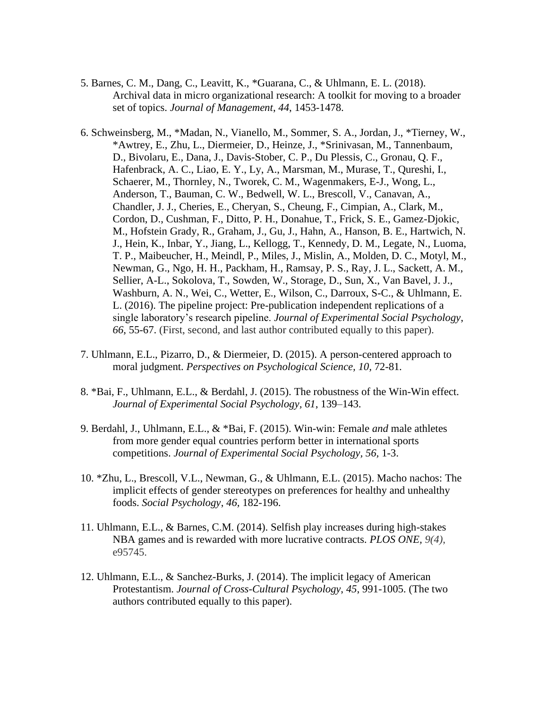- 5. Barnes, C. M., Dang, C., Leavitt, K., \*Guarana, C., & Uhlmann, E. L. (2018). Archival data in micro organizational research: A toolkit for moving to a broader set of topics. *Journal of Management*, *44*, 1453-1478.
- 6. Schweinsberg, M., \*Madan, N., Vianello, M., Sommer, S. A., Jordan, J., \*Tierney, W., \*Awtrey, E., Zhu, L., Diermeier, D., Heinze, J., \*Srinivasan, M., Tannenbaum, D., Bivolaru, E., Dana, J., Davis-Stober, C. P., Du Plessis, C., Gronau, Q. F., Hafenbrack, A. C., Liao, E. Y., Ly, A., Marsman, M., Murase, T., Qureshi, I., Schaerer, M., Thornley, N., Tworek, C. M., Wagenmakers, E-J., Wong, L., Anderson, T., Bauman, C. W., Bedwell, W. L., Brescoll, V., Canavan, A., Chandler, J. J., Cheries, E., Cheryan, S., Cheung, F., Cimpian, A., Clark, M., Cordon, D., Cushman, F., Ditto, P. H., Donahue, T., Frick, S. E., Gamez-Djokic, M., Hofstein Grady, R., Graham, J., Gu, J., Hahn, A., Hanson, B. E., Hartwich, N. J., Hein, K., Inbar, Y., Jiang, L., Kellogg, T., Kennedy, D. M., Legate, N., Luoma, T. P., Maibeucher, H., Meindl, P., Miles, J., Mislin, A., Molden, D. C., Motyl, M., Newman, G., Ngo, H. H., Packham, H., Ramsay, P. S., Ray, J. L., Sackett, A. M., Sellier, A-L., Sokolova, T., Sowden, W., Storage, D., Sun, X., Van Bavel, J. J., Washburn, A. N., Wei, C., Wetter, E., Wilson, C., Darroux, S-C., & Uhlmann, E. L. (2016). The pipeline project: Pre-publication independent replications of a single laboratory's research pipeline. *Journal of Experimental Social Psychology*, *66*, 55-67. (First, second, and last author contributed equally to this paper).
- 7. Uhlmann, E.L., Pizarro, D., & Diermeier, D. (2015). A person-centered approach to moral judgment. *Perspectives on Psychological Science*, 10, 72-81.
- 8. \*Bai, F., Uhlmann, E.L., & Berdahl, J. (2015). The robustness of the Win-Win effect. *Journal of Experimental Social Psychology, 61*, 139–143.
- 9. Berdahl, J., Uhlmann, E.L., & \*Bai, F. (2015). Win-win: Female *and* male athletes from more gender equal countries perform better in international sports competitions. *Journal of Experimental Social Psychology, 56,* 1-3.
- 10. \*Zhu, L., Brescoll, V.L., Newman, G., & Uhlmann, E.L. (2015). Macho nachos: The implicit effects of gender stereotypes on preferences for healthy and unhealthy foods. *Social Psychology*, *46,* 182-196.
- 11. Uhlmann, E.L., & Barnes, C.M. (2014). Selfish play increases during high-stakes NBA games and is rewarded with more lucrative contracts. *PLOS ONE, 9(4)*, e95745.
- 12. Uhlmann, E.L., & Sanchez-Burks, J. (2014). The implicit legacy of American Protestantism. *Journal of Cross-Cultural Psychology*, *45*, 991-1005. (The two authors contributed equally to this paper).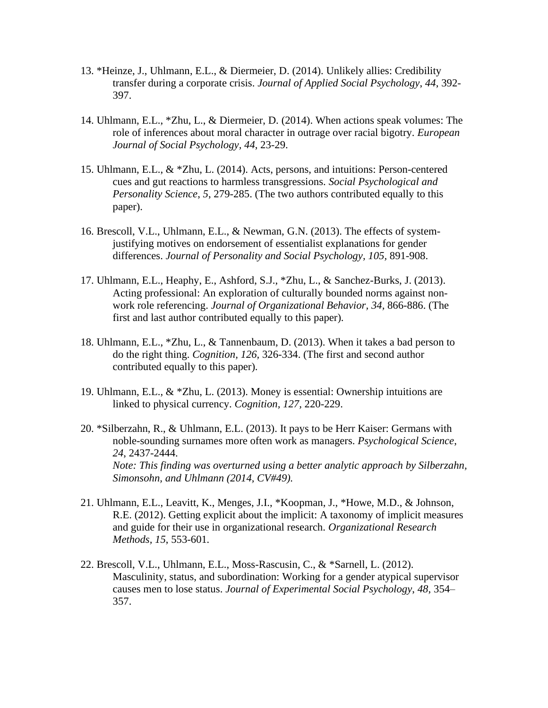- 13. \*Heinze, J., Uhlmann, E.L., & Diermeier, D. (2014). Unlikely allies: Credibility transfer during a corporate crisis. *Journal of Applied Social Psychology*, *44*, 392- 397.
- 14. Uhlmann, E.L., \*Zhu, L., & Diermeier, D. (2014). When actions speak volumes: The role of inferences about moral character in outrage over racial bigotry. *European Journal of Social Psychology, 44*, 23-29.
- 15. Uhlmann, E.L., & \*Zhu, L. (2014). Acts, persons, and intuitions: Person-centered cues and gut reactions to harmless transgressions. *Social Psychological and Personality Science*, *5*, 279-285. (The two authors contributed equally to this paper).
- 16. Brescoll, V.L., Uhlmann, E.L., & Newman, G.N. (2013). The effects of systemjustifying motives on endorsement of essentialist explanations for gender differences. *Journal of Personality and Social Psychology, 105,* 891-908.
- 17. Uhlmann, E.L., Heaphy, E., Ashford, S.J., \*Zhu, L., & Sanchez-Burks, J. (2013). Acting professional: An exploration of culturally bounded norms against nonwork role referencing. *Journal of Organizational Behavior, 34,* 866-886. (The first and last author contributed equally to this paper).
- 18. Uhlmann, E.L., \*Zhu, L., & Tannenbaum, D. (2013). When it takes a bad person to do the right thing. *Cognition, 126,* 326-334. (The first and second author contributed equally to this paper).
- 19. Uhlmann, E.L., & \*Zhu, L. (2013). Money is essential: Ownership intuitions are linked to physical currency. *Cognition, 127,* 220-229.
- 20. \*Silberzahn, R., & Uhlmann, E.L. (2013). It pays to be Herr Kaiser: Germans with noble-sounding surnames more often work as managers. *Psychological Science*, *24*, 2437-2444. *Note: This finding was overturned using a better analytic approach by Silberzahn, Simonsohn, and Uhlmann (2014, CV#49).*
- 21. Uhlmann, E.L., Leavitt, K., Menges, J.I., \*Koopman, J., \*Howe, M.D., & Johnson, R.E. (2012). Getting explicit about the implicit: A taxonomy of implicit measures and guide for their use in organizational research. *Organizational Research Methods, 15*, 553-601*.*
- 22. Brescoll, V.L., Uhlmann, E.L., Moss-Rascusin, C., & \*Sarnell, L. (2012). Masculinity, status, and subordination: Working for a gender atypical supervisor causes men to lose status. *Journal of Experimental Social Psychology*, *48*, 354– 357.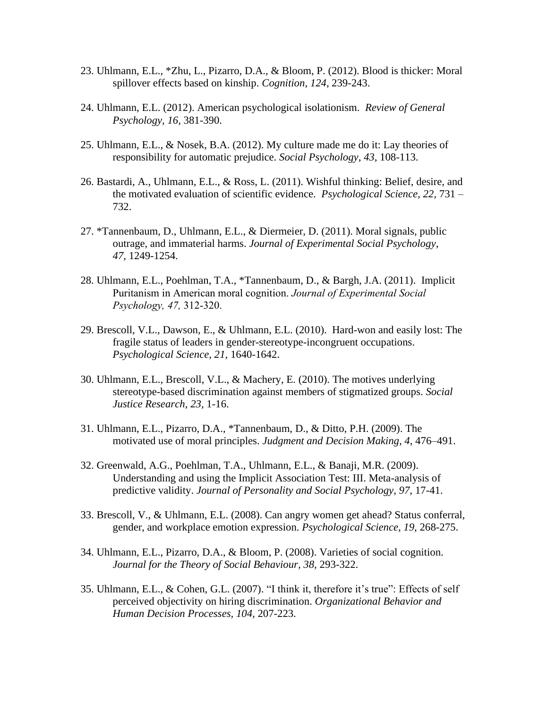- 23. Uhlmann, E.L., \*Zhu, L., Pizarro, D.A., & Bloom, P. (2012). Blood is thicker: Moral spillover effects based on kinship. *Cognition*, *124*, 239-243.
- 24. Uhlmann, E.L. (2012). American psychological isolationism. *Review of General Psychology, 16,* 381-390.
- 25. Uhlmann, E.L., & Nosek, B.A. (2012). My culture made me do it: Lay theories of responsibility for automatic prejudice. *Social Psychology*, *43*, 108-113.
- 26. Bastardi, A., Uhlmann, E.L., & Ross, L. (2011). Wishful thinking: Belief, desire, and the motivated evaluation of scientific evidence. *Psychological Science, 22,* 731 – 732.
- 27. \*Tannenbaum, D., Uhlmann, E.L., & Diermeier, D. (2011). Moral signals, public outrage, and immaterial harms. *Journal of Experimental Social Psychology*, *47,* 1249-1254.
- 28. Uhlmann, E.L., Poehlman, T.A., \*Tannenbaum, D., & Bargh, J.A. (2011). Implicit Puritanism in American moral cognition. *Journal of Experimental Social Psychology, 47,* 312-320.
- 29. Brescoll, V.L., Dawson, E., & Uhlmann, E.L. (2010). Hard-won and easily lost: The fragile status of leaders in gender-stereotype-incongruent occupations. *Psychological Science, 21,* 1640-1642.
- 30. Uhlmann, E.L., Brescoll, V.L., & Machery, E. (2010). The motives underlying stereotype-based discrimination against members of stigmatized groups. *Social Justice Research, 23,* 1-16.
- 31. Uhlmann, E.L., Pizarro, D.A., \*Tannenbaum, D., & Ditto, P.H. (2009). The motivated use of moral principles. *Judgment and Decision Making*, *4*, 476–491.
- 32. Greenwald, A.G., Poehlman, T.A., Uhlmann, E.L., & Banaji, M.R. (2009). Understanding and using the Implicit Association Test: III. Meta-analysis of predictive validity. *Journal of Personality and Social Psychology*, *97*, 17-41.
- 33. Brescoll, V., & Uhlmann, E.L. (2008). Can angry women get ahead? Status conferral, gender, and workplace emotion expression. *Psychological Science*, *19*, 268-275.
- 34. Uhlmann, E.L., Pizarro, D.A., & Bloom, P. (2008). Varieties of social cognition. *Journal for the Theory of Social Behaviour, 38,* 293-322.
- 35. Uhlmann, E.L., & Cohen, G.L. (2007). "I think it, therefore it's true": Effects of self perceived objectivity on hiring discrimination. *Organizational Behavior and Human Decision Processes, 104,* 207-223.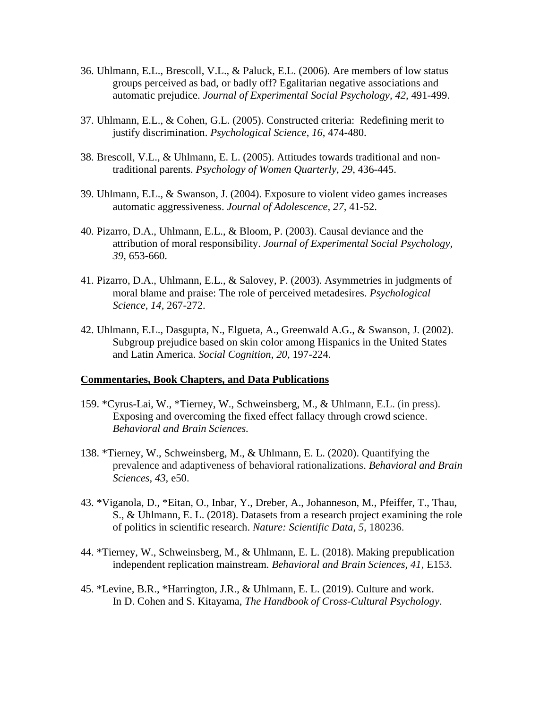- 36. Uhlmann, E.L., Brescoll, V.L., & Paluck, E.L. (2006). Are members of low status groups perceived as bad, or badly off? Egalitarian negative associations and automatic prejudice. *Journal of Experimental Social Psychology, 42,* 491-499.
- 37. Uhlmann, E.L., & Cohen, G.L. (2005). Constructed criteria: Redefining merit to justify discrimination. *Psychological Science*, *16*, 474**-**480.
- 38. Brescoll, V.L., & Uhlmann, E. L. (2005). Attitudes towards traditional and nontraditional parents. *Psychology of Women Quarterly*, *29*, 436-445.
- 39. Uhlmann, E.L., & Swanson, J. (2004). Exposure to violent video games increases automatic aggressiveness. *Journal of Adolescence, 27,* 41-52.
- 40. Pizarro, D.A., Uhlmann, E.L., & Bloom, P. (2003). Causal deviance and the attribution of moral responsibility. *Journal of Experimental Social Psychology, 39,* 653-660.
- 41. Pizarro, D.A., Uhlmann, E.L., & Salovey, P. (2003). Asymmetries in judgments of moral blame and praise: The role of perceived metadesires. *Psychological Science, 14,* 267-272.
- 42. Uhlmann, E.L., Dasgupta, N., Elgueta, A., Greenwald A.G., & Swanson, J. (2002). Subgroup prejudice based on skin color among Hispanics in the United States and Latin America. *Social Cognition*, *20,* 197-224.

#### **Commentaries, Book Chapters, and Data Publications**

- 159. \*Cyrus-Lai, W., \*Tierney, W., Schweinsberg, M., & Uhlmann, E.L. (in press). Exposing and overcoming the fixed effect fallacy through crowd science. *Behavioral and Brain Sciences.*
- 138. \*Tierney, W., Schweinsberg, M., & Uhlmann, E. L. (2020). Quantifying the prevalence and adaptiveness of behavioral rationalizations. *Behavioral and Brain Sciences, 43,* e50.
- 43. \*Viganola, D., \*Eitan, O., Inbar, Y., Dreber, A., Johanneson, M., Pfeiffer, T., Thau, S., & Uhlmann, E. L. (2018). Datasets from a research project examining the role of politics in scientific research. *Nature: Scientific Data*, *5*, 180236.
- 44. \*Tierney, W., Schweinsberg, M., & Uhlmann, E. L. (2018). Making prepublication independent replication mainstream. *Behavioral and Brain Sciences, 41*, E153.
- 45. \*Levine, B.R., \*Harrington, J.R., & Uhlmann, E. L. (2019). Culture and work. In D. Cohen and S. Kitayama, *The Handbook of Cross-Cultural Psychology*.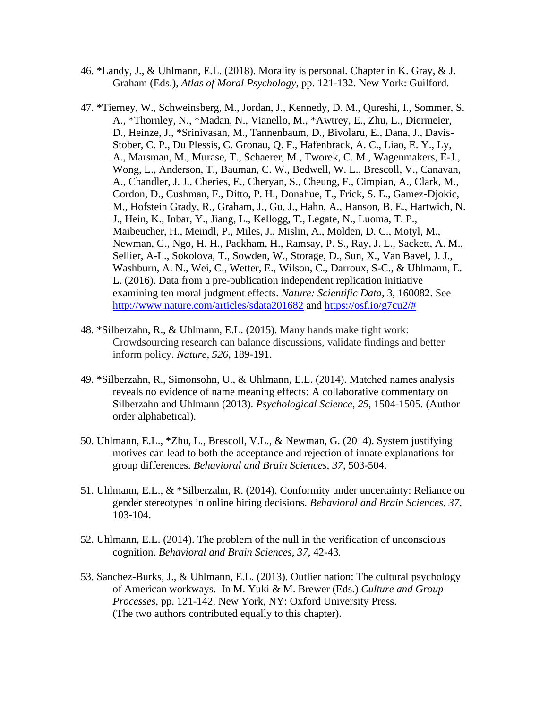- 46. \*Landy, J., & Uhlmann, E.L. (2018). Morality is personal. Chapter in K. Gray, & J. Graham (Eds.), *Atlas of Moral Psychology*, pp. 121-132. New York: Guilford.
- 47. \*Tierney, W., Schweinsberg, M., Jordan, J., Kennedy, D. M., Qureshi, I., Sommer, S. A., \*Thornley, N., \*Madan, N., Vianello, M., \*Awtrey, E., Zhu, L., Diermeier, D., Heinze, J., \*Srinivasan, M., Tannenbaum, D., Bivolaru, E., Dana, J., Davis-Stober, C. P., Du Plessis, C. Gronau, Q. F., Hafenbrack, A. C., Liao, E. Y., Ly, A., Marsman, M., Murase, T., Schaerer, M., Tworek, C. M., Wagenmakers, E-J., Wong, L., Anderson, T., Bauman, C. W., Bedwell, W. L., Brescoll, V., Canavan, A., Chandler, J. J., Cheries, E., Cheryan, S., Cheung, F., Cimpian, A., Clark, M., Cordon, D., Cushman, F., Ditto, P. H., Donahue, T., Frick, S. E., Gamez-Djokic, M., Hofstein Grady, R., Graham, J., Gu, J., Hahn, A., Hanson, B. E., Hartwich, N. J., Hein, K., Inbar, Y., Jiang, L., Kellogg, T., Legate, N., Luoma, T. P., Maibeucher, H., Meindl, P., Miles, J., Mislin, A., Molden, D. C., Motyl, M., Newman, G., Ngo, H. H., Packham, H., Ramsay, P. S., Ray, J. L., Sackett, A. M., Sellier, A-L., Sokolova, T., Sowden, W., Storage, D., Sun, X., Van Bavel, J. J., Washburn, A. N., Wei, C., Wetter, E., Wilson, C., Darroux, S-C., & Uhlmann, E. L. (2016). Data from a pre-publication independent replication initiative examining ten moral judgment effects. *Nature: Scientific Data*, 3, 160082. See <http://www.nature.com/articles/sdata201682> and [https://osf.io/g7cu2/#](https://osf.io/g7cu2/)
- 48. \*Silberzahn, R., & Uhlmann, E.L. (2015). Many hands make tight work: Crowdsourcing research can balance discussions, validate findings and better inform policy. *Nature*, *526*, 189-191.
- 49. \*Silberzahn, R., Simonsohn, U., & Uhlmann, E.L. (2014). Matched names analysis reveals no evidence of name meaning effects: A collaborative commentary on Silberzahn and Uhlmann (2013). *Psychological Science*, *25*, 1504-1505. (Author order alphabetical).
- 50. Uhlmann, E.L., \*Zhu, L., Brescoll, V.L., & Newman, G. (2014). System justifying motives can lead to both the acceptance and rejection of innate explanations for group differences. *Behavioral and Brain Sciences, 37,* 503-504.
- 51. Uhlmann, E.L., & \*Silberzahn, R. (2014). Conformity under uncertainty: Reliance on gender stereotypes in online hiring decisions. *Behavioral and Brain Sciences, 37,* 103-104.
- 52. Uhlmann, E.L. (2014). The problem of the null in the verification of unconscious cognition. *Behavioral and Brain Sciences, 37,* 42-43*.*
- 53. Sanchez-Burks, J., & Uhlmann, E.L. (2013). Outlier nation: The cultural psychology of American workways. In M. Yuki & M. Brewer (Eds.) *Culture and Group Processes*, pp. 121-142. New York, NY: Oxford University Press. (The two authors contributed equally to this chapter).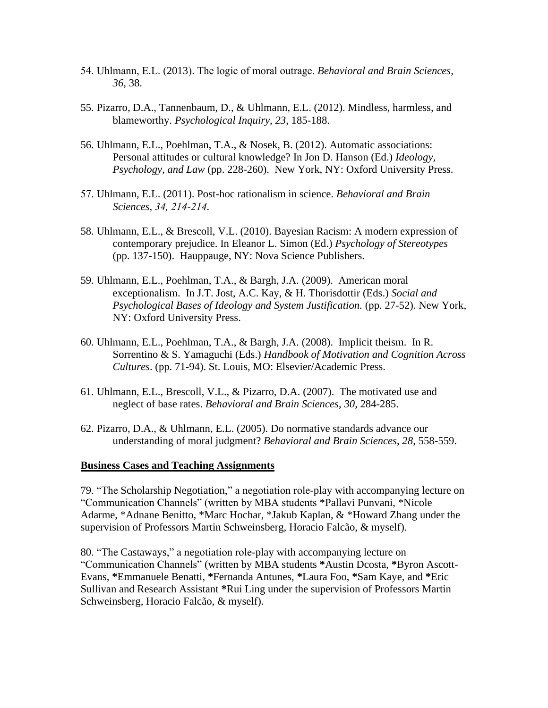- 54. Uhlmann, E.L. (2013). The logic of moral outrage. *Behavioral and Brain Sciences, 36,* 38.
- 55. Pizarro, D.A., Tannenbaum, D., & Uhlmann, E.L. (2012). Mindless, harmless, and blameworthy. *Psychological Inquiry*, *23*, 185-188.
- 56. Uhlmann, E.L., Poehlman, T.A., & Nosek, B. (2012). Automatic associations: Personal attitudes or cultural knowledge? In Jon D. Hanson (Ed.) *Ideology, Psychology, and Law* (pp. 228-260). New York, NY: Oxford University Press.
- 57. Uhlmann, E.L. (2011). Post-hoc rationalism in science. *Behavioral and Brain Sciences, 34, 214-214.*
- 58. Uhlmann, E.L., & Brescoll, V.L. (2010). Bayesian Racism: A modern expression of contemporary prejudice. In Eleanor L. Simon (Ed.) *Psychology of Stereotypes* (pp. 137-150). Hauppauge, NY: Nova Science Publishers.
- 59. Uhlmann, E.L., Poehlman, T.A., & Bargh, J.A. (2009). American moral exceptionalism. In J.T. Jost, A.C. Kay, & H. Thorisdottir (Eds.) *Social and Psychological Bases of Ideology and System Justification.* (pp. 27-52). New York, NY: Oxford University Press.
- 60. Uhlmann, E.L., Poehlman, T.A., & Bargh, J.A. (2008). Implicit theism. In R. Sorrentino & S. Yamaguchi (Eds.) *Handbook of Motivation and Cognition Across Cultures*. (pp. 71-94). St. Louis, MO: Elsevier/Academic Press.
- 61. Uhlmann, E.L., Brescoll, V.L., & Pizarro, D.A. (2007). The motivated use and neglect of base rates. *Behavioral and Brain Sciences*, *30*, 284-285.
- 62. Pizarro, D.A., & Uhlmann, E.L. (2005). Do normative standards advance our understanding of moral judgment? *Behavioral and Brain Sciences*, *28*, 558-559.

#### **Business Cases and Teaching Assignments**

79. "The Scholarship Negotiation," a negotiation role-play with accompanying lecture on "Communication Channels" (written by MBA students \*Pallavi Punvani, \*Nicole Adarme, \*Adnane Benitto, \*Marc Hochar, \*Jakub Kaplan, & \*Howard Zhang under the supervision of Professors Martin Schweinsberg, Horacio Falcão, & myself).

80. "The Castaways," a negotiation role-play with accompanying lecture on "Communication Channels" (written by MBA students **\***Austin Dcosta, **\***Byron Ascott-Evans, **\***Emmanuele Benatti, **\***Fernanda Antunes, **\***Laura Foo, **\***Sam Kaye, and **\***Eric Sullivan and Research Assistant **\***Rui Ling under the supervision of Professors Martin Schweinsberg, Horacio Falcão, & myself).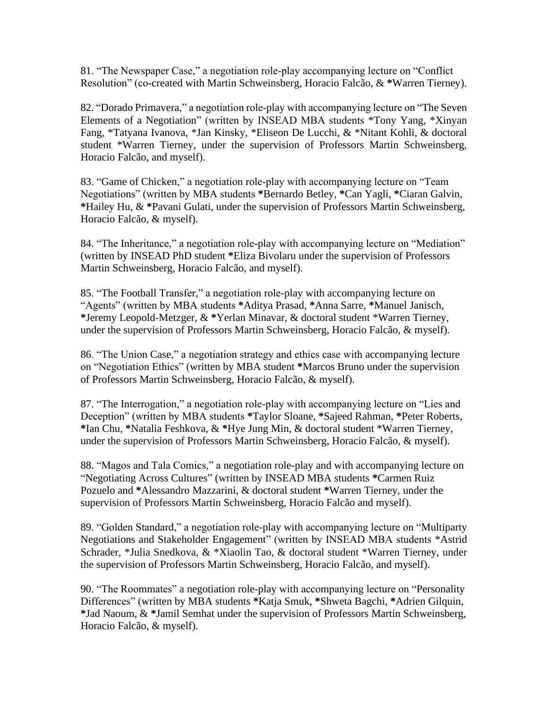81. "The Newspaper Case," a negotiation role-play accompanying lecture on "Conflict Resolution" (co-created with Martin Schweinsberg, Horacio Falcão, & **\***Warren Tierney).

82. "Dorado Primavera," a negotiation role-play with accompanying lecture on "The Seven Elements of a Negotiation" (written by INSEAD MBA students \*Tony Yang, \*Xinyan Fang, \*Tatyana Ivanova, \*Jan Kinsky, \*Eliseon De Lucchi, & \*Nitant Kohli, & doctoral student \*Warren Tierney, under the supervision of Professors Martin Schweinsberg, Horacio Falcão, and myself).

83. "Game of Chicken," a negotiation role-play with accompanying lecture on "Team Negotiations" (written by MBA students **\***Bernardo Betley, **\***Can Yagli, **\***Ciaran Galvin, **\***Hailey Hu, & **\***Pavani Gulati, under the supervision of Professors Martin Schweinsberg, Horacio Falcão, & myself).

84. "The Inheritance," a negotiation role-play with accompanying lecture on "Mediation" (written by INSEAD PhD student **\***Eliza Bivolaru under the supervision of Professors Martin Schweinsberg, Horacio Falcão, and myself).

85. "The Football Transfer," a negotiation role-play with accompanying lecture on "Agents" (written by MBA students **\***Aditya Prasad, **\***Anna Sarre, **\***[Manuel Janisch,](mailto:Manuel%20Janisch) **\***[Jeremy Leopold-Metzger,](mailto:jeremy.leopold-metzger@insead.edu) & **\***Yerlan Minavar, & doctoral student \*Warren Tierney, under the supervision of Professors Martin Schweinsberg, Horacio Falcão, & myself).

86. "The Union Case," a negotiation strategy and ethics case with accompanying lecture on "Negotiation Ethics" (written by MBA student **\***Marcos Bruno under the supervision of Professors Martin Schweinsberg, Horacio Falcão, & myself).

87. "The Interrogation," a negotiation role-play with accompanying lecture on "Lies and Deception" (written by MBA students **\***Taylor Sloane, **\***Sajeed Rahman, **\***Peter Roberts, **\***Ian Chu, **\***Natalia Feshkova, & **\***Hye Jung Min, & doctoral student \*Warren Tierney, under the supervision of Professors Martin Schweinsberg, Horacio Falcão, & myself).

88. "Magos and Tala Comics," a negotiation role-play and with accompanying lecture on "Negotiating Across Cultures" (written by INSEAD MBA students **\***Carmen Ruiz Pozuelo and **\***Alessandro Mazzarini, & doctoral student **\***Warren Tierney, under the supervision of Professors Martin Schweinsberg, Horacio Falcão and myself).

89. "Golden Standard," a negotiation role-play with accompanying lecture on "Multiparty Negotiations and Stakeholder Engagement" (written by INSEAD MBA students \*Astrid Schrader, \*Julia Snedkova, & \*Xiaolin Tao, & doctoral student \*Warren Tierney, under the supervision of Professors Martin Schweinsberg, Horacio Falcão, and myself).

90. "The Roommates" a negotiation role-play with accompanying lecture on "Personality Differences" (written by MBA students **\***Katja Smuk, **\***Shweta Bagchi, **\***Adrien Gilquin, **\***Jad Naoum, & **\***Jamil Semhat under the supervision of Professors Martin Schweinsberg, Horacio Falcão, & myself).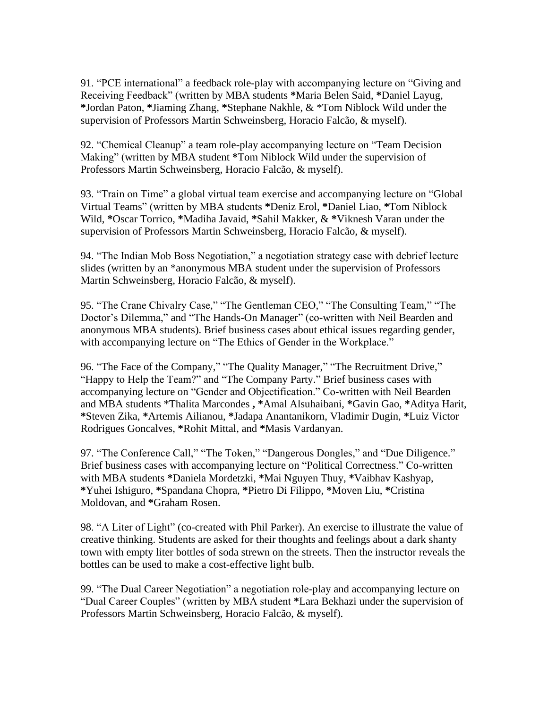91. "PCE international" a feedback role-play with accompanying lecture on "Giving and Receiving Feedback" (written by MBA students **\***Maria Belen Said, **\***Daniel Layug, **\***Jordan Paton, **\***Jiaming Zhang, **\***Stephane Nakhle, & \*Tom Niblock Wild under the supervision of Professors Martin Schweinsberg, Horacio Falcão, & myself).

92. "Chemical Cleanup" a team role-play accompanying lecture on "Team Decision Making" (written by MBA student **\***Tom Niblock Wild under the supervision of Professors Martin Schweinsberg, Horacio Falcão, & myself).

93. "Train on Time" a global virtual team exercise and accompanying lecture on "Global Virtual Teams" (written by MBA students **\***Deniz Erol, **\***Daniel Liao, **\***Tom Niblock Wild, **\***Oscar Torrico, **\***Madiha Javaid, **\***Sahil Makker, & **\***Viknesh Varan under the supervision of Professors Martin Schweinsberg, Horacio Falcão, & myself).

94. "The Indian Mob Boss Negotiation," a negotiation strategy case with debrief lecture slides (written by an \*anonymous MBA student under the supervision of Professors Martin Schweinsberg, Horacio Falcão, & myself).

95. "The Crane Chivalry Case," "The Gentleman CEO," "The Consulting Team," "The Doctor's Dilemma," and "The Hands-On Manager" (co-written with Neil Bearden and anonymous MBA students). Brief business cases about ethical issues regarding gender, with accompanying lecture on "The Ethics of Gender in the Workplace."

96. "The Face of the Company," "The Quality Manager," "The Recruitment Drive," "Happy to Help the Team?" and "The Company Party." Brief business cases with accompanying lecture on "Gender and Objectification." Co-written with Neil Bearden and MBA students \*Thalita Marcondes **, \***Amal Alsuhaibani, **\***Gavin Gao, **\***Aditya Harit, **\***Steven Zika, **\***Artemis Ailianou, **\***Jadapa Anantanikorn, Vladimir Dugin, **\***Luiz Victor Rodrigues Goncalves, **\***Rohit Mittal, and **\***Masis Vardanyan.

97. "The Conference Call," "The Token," "Dangerous Dongles," and "Due Diligence." Brief business cases with accompanying lecture on "Political Correctness." Co-written with MBA students **\***Daniela Mordetzki, **\***Mai Nguyen Thuy, **\***Vaibhav Kashyap, **\***Yuhei Ishiguro, **\***Spandana Chopra, **\***Pietro Di Filippo, **\***Moven Liu, **\***Cristina Moldovan, and **\***Graham Rosen.

98. "A Liter of Light" (co-created with Phil Parker). An exercise to illustrate the value of creative thinking. Students are asked for their thoughts and feelings about a dark shanty town with empty liter bottles of soda strewn on the streets. Then the instructor reveals the bottles can be used to make a cost-effective light bulb.

99. "The Dual Career Negotiation" a negotiation role-play and accompanying lecture on "Dual Career Couples" (written by MBA student **\***Lara Bekhazi under the supervision of Professors Martin Schweinsberg, Horacio Falcão, & myself).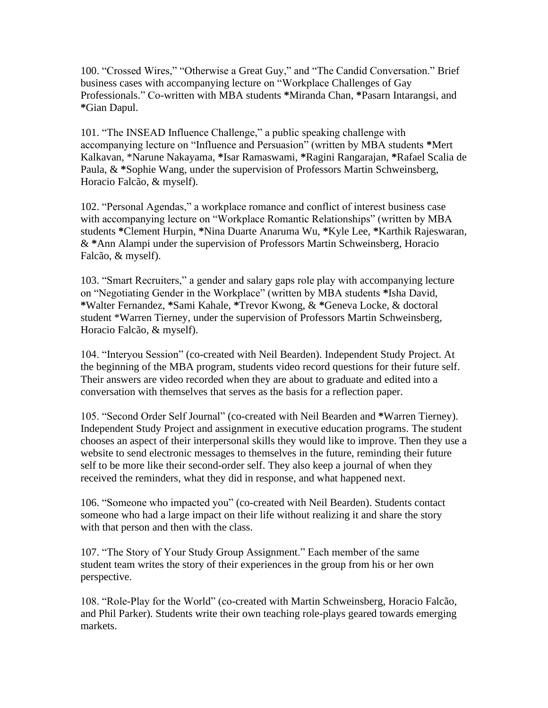100. "Crossed Wires," "Otherwise a Great Guy," and "The Candid Conversation." Brief business cases with accompanying lecture on "Workplace Challenges of Gay Professionals." Co-written with MBA students **\***Miranda Chan, **\***Pasarn Intarangsi, and **\***Gian Dapul.

101. "The INSEAD Influence Challenge," a public speaking challenge with accompanying lecture on "Influence and Persuasion" (written by MBA students **\***Mert Kalkavan, \*Narune Nakayama, **\***Isar Ramaswami, **\***Ragini Rangarajan, **\***Rafael Scalia de Paula, & **\***Sophie Wang, under the supervision of Professors Martin Schweinsberg, Horacio Falcão, & myself).

102. "Personal Agendas," a workplace romance and conflict of interest business case with accompanying lecture on "Workplace Romantic Relationships" (written by MBA students **\***Clement Hurpin, **\***Nina Duarte Anaruma Wu, **\***Kyle Lee, **\***Karthik Rajeswaran, & **\***Ann Alampi under the supervision of Professors Martin Schweinsberg, Horacio Falcão, & myself).

103. "Smart Recruiters," a gender and salary gaps role play with accompanying lecture on "Negotiating Gender in the Workplace" (written by MBA students **\***Isha David, **\***Walter Fernandez, **\***Sami Kahale, **\***Trevor Kwong, & **\***Geneva Locke, & doctoral student \*Warren Tierney, under the supervision of Professors Martin Schweinsberg, Horacio Falcão, & myself).

104. "Interyou Session" (co-created with Neil Bearden). Independent Study Project. At the beginning of the MBA program, students video record questions for their future self. Their answers are video recorded when they are about to graduate and edited into a conversation with themselves that serves as the basis for a reflection paper.

105. "Second Order Self Journal" (co-created with Neil Bearden and **\***Warren Tierney). Independent Study Project and assignment in executive education programs. The student chooses an aspect of their interpersonal skills they would like to improve. Then they use a website to send electronic messages to themselves in the future, reminding their future self to be more like their second-order self. They also keep a journal of when they received the reminders, what they did in response, and what happened next.

106. "Someone who impacted you" (co-created with Neil Bearden). Students contact someone who had a large impact on their life without realizing it and share the story with that person and then with the class.

107. "The Story of Your Study Group Assignment." Each member of the same student team writes the story of their experiences in the group from his or her own perspective.

108. "Role-Play for the World" (co-created with Martin Schweinsberg, Horacio Falcão, and Phil Parker). Students write their own teaching role-plays geared towards emerging markets.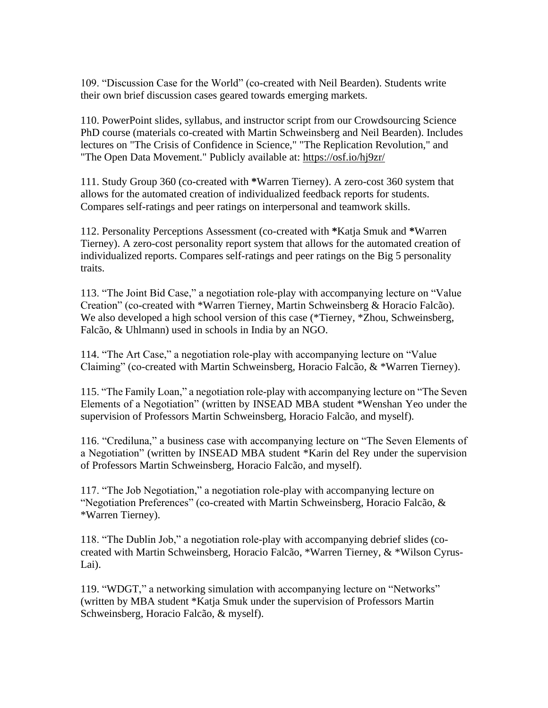109. "Discussion Case for the World" (co-created with Neil Bearden). Students write their own brief discussion cases geared towards emerging markets.

110. PowerPoint slides, syllabus, and instructor script from our Crowdsourcing Science PhD course (materials co-created with Martin Schweinsberg and Neil Bearden). Includes lectures on "The Crisis of Confidence in Science," "The Replication Revolution," and "The Open Data Movement." Publicly available at: <https://osf.io/hj9zr/>

111. Study Group 360 (co-created with **\***Warren Tierney). A zero-cost 360 system that allows for the automated creation of individualized feedback reports for students. Compares self-ratings and peer ratings on interpersonal and teamwork skills.

112. Personality Perceptions Assessment (co-created with **\***Katja Smuk and **\***Warren Tierney). A zero-cost personality report system that allows for the automated creation of individualized reports. Compares self-ratings and peer ratings on the Big 5 personality traits.

113. "The Joint Bid Case," a negotiation role-play with accompanying lecture on "Value Creation" (co-created with \*Warren Tierney, Martin Schweinsberg & Horacio Falcão). We also developed a high school version of this case (\*Tierney, \*Zhou, Schweinsberg, Falcão, & Uhlmann) used in schools in India by an NGO.

114. "The Art Case," a negotiation role-play with accompanying lecture on "Value Claiming" (co-created with Martin Schweinsberg, Horacio Falcão, & \*Warren Tierney).

115. "The Family Loan," a negotiation role-play with accompanying lecture on "The Seven Elements of a Negotiation" (written by INSEAD MBA student \*Wenshan Yeo under the supervision of Professors Martin Schweinsberg, Horacio Falcão, and myself).

116. "Crediluna," a business case with accompanying lecture on "The Seven Elements of a Negotiation" (written by INSEAD MBA student \*Karin del Rey under the supervision of Professors Martin Schweinsberg, Horacio Falcão, and myself).

117. "The Job Negotiation," a negotiation role-play with accompanying lecture on "Negotiation Preferences" (co-created with Martin Schweinsberg, Horacio Falcão, & \*Warren Tierney).

118. "The Dublin Job," a negotiation role-play with accompanying debrief slides (cocreated with Martin Schweinsberg, Horacio Falcão, \*Warren Tierney, & \*Wilson Cyrus-Lai).

119. "WDGT," a networking simulation with accompanying lecture on "Networks" (written by MBA student \*Katja Smuk under the supervision of Professors Martin Schweinsberg, Horacio Falcão, & myself).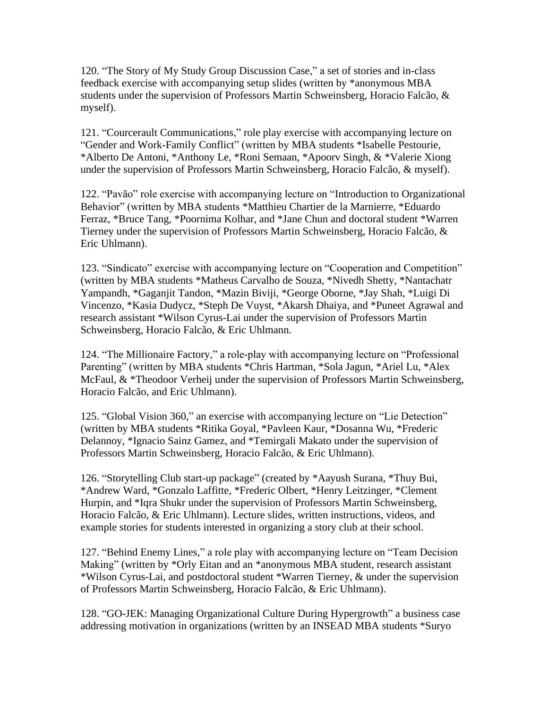120. "The Story of My Study Group Discussion Case," a set of stories and in-class feedback exercise with accompanying setup slides (written by \*anonymous MBA students under the supervision of Professors Martin Schweinsberg, Horacio Falcão, & myself).

121. "Courcerault Communications," role play exercise with accompanying lecture on "Gender and Work-Family Conflict" (written by MBA students \*Isabelle Pestourie, \*Alberto De Antoni, \*Anthony Le, \*Roni Semaan, \*Apoorv Singh, & \*Valerie Xiong under the supervision of Professors Martin Schweinsberg, Horacio Falcão, & myself).

122. "Pavão" role exercise with accompanying lecture on "Introduction to Organizational Behavior" (written by MBA students \*Matthieu Chartier de la Marnierre, \*Eduardo Ferraz, \*Bruce Tang, \*Poornima Kolhar, and \*Jane Chun and doctoral student \*Warren Tierney under the supervision of Professors Martin Schweinsberg, Horacio Falcão, & Eric Uhlmann).

123. "Sindicato" exercise with accompanying lecture on "Cooperation and Competition" (written by MBA students \*Matheus Carvalho de Souza, [\\*Nivedh Shetty,](mailto:nivedh.shetty@insead.edu) \*Nantachatr Yampandh, \*Gaganjit Tandon, \*Mazin Biviji, \*George Oborne, \*Jay Shah, \*Luigi Di Vincenzo, \*Kasia Dudycz, \*Steph De Vuyst, \*Akarsh Dhaiya, and \*Puneet Agrawal and research assistant \*Wilson Cyrus-Lai under the supervision of Professors Martin Schweinsberg, Horacio Falcão, & Eric Uhlmann.

124. "The Millionaire Factory," a role-play with accompanying lecture on "Professional Parenting" (written by MBA students \*Chris Hartman, \*Sola Jagun, \*Ariel Lu, \*Alex McFaul, & \*Theodoor Verheij under the supervision of Professors Martin Schweinsberg, Horacio Falcão, and Eric Uhlmann).

125. "Global Vision 360," an exercise with accompanying lecture on "Lie Detection" (written by MBA students \*Ritika Goyal, \*Pavleen Kaur, \*Dosanna Wu, \*Frederic Delannoy, \*Ignacio Sainz Gamez, and \*Temirgali Makato under the supervision of Professors Martin Schweinsberg, Horacio Falcão, & Eric Uhlmann).

126. "Storytelling Club start-up package" (created by \*Aayush Surana, \*Thuy Bui, \*Andrew Ward, \*Gonzalo Laffitte, \*Frederic Olbert, \*Henry Leitzinger, \*Clement Hurpin, and \*Iqra Shukr under the supervision of Professors Martin Schweinsberg, Horacio Falcão, & Eric Uhlmann). Lecture slides, written instructions, videos, and example stories for students interested in organizing a story club at their school.

127. "Behind Enemy Lines," a role play with accompanying lecture on "Team Decision Making" (written by \*Orly Eitan and an \*anonymous MBA student, research assistant \*Wilson Cyrus-Lai, and postdoctoral student \*Warren Tierney, & under the supervision of Professors Martin Schweinsberg, Horacio Falcão, & Eric Uhlmann).

128. "GO-JEK: Managing Organizational Culture During Hypergrowth" a business case addressing motivation in organizations (written by an INSEAD MBA students \*Suryo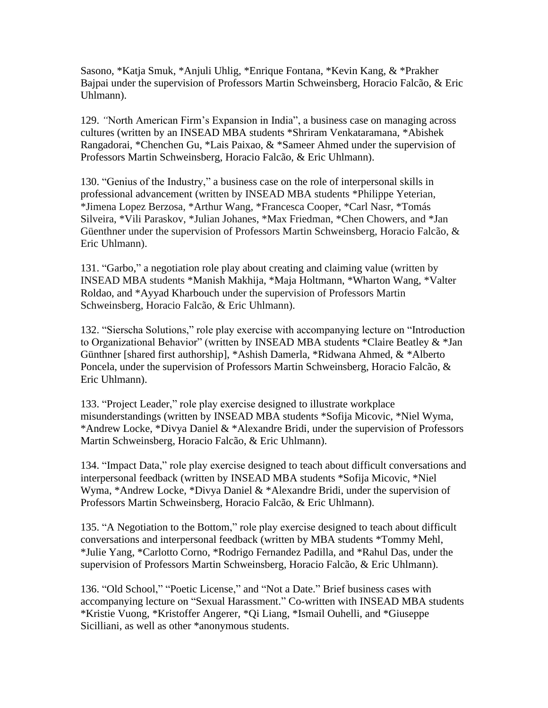Sasono, \*Katja Smuk, \*Anjuli Uhlig, \*Enrique Fontana, \*Kevin Kang, & \*Prakher Bajpai under the supervision of Professors Martin Schweinsberg, Horacio Falcão, & Eric Uhlmann).

129. *"*North American Firm's Expansion in India", a business case on managing across cultures (written by an INSEAD MBA students \*Shriram Venkataramana, \*Abishek Rangadorai, \*Chenchen Gu, \*Lais Paixao, & \*Sameer Ahmed under the supervision of Professors Martin Schweinsberg, Horacio Falcão, & Eric Uhlmann).

130. "Genius of the Industry," a business case on the role of interpersonal skills in professional advancement (written by INSEAD MBA students \*Philippe Yeterian, \*Jimena Lopez Berzosa, \*Arthur Wang, \*Francesca Cooper, \*Carl Nasr, \*Tomás Silveira, \*Vili Paraskov, \*Julian Johanes, \*Max Friedman, \*Chen Chowers, and \*Jan Güenthner under the supervision of Professors Martin Schweinsberg, Horacio Falcão, & Eric Uhlmann).

131. "Garbo," a negotiation role play about creating and claiming value (written by INSEAD MBA students \*Manish Makhija, \*Maja Holtmann, \*Wharton Wang, \*Valter Roldao, and \*Ayyad Kharbouch under the supervision of Professors Martin Schweinsberg, Horacio Falcão, & Eric Uhlmann).

132. "Sierscha Solutions," role play exercise with accompanying lecture on "Introduction to Organizational Behavior" (written by INSEAD MBA students \*Claire Beatley & \*Jan Günthner [shared first authorship], \*Ashish Damerla, \*Ridwana Ahmed, & \*Alberto Poncela, under the supervision of Professors Martin Schweinsberg, Horacio Falcão, & Eric Uhlmann).

133. "Project Leader," role play exercise designed to illustrate workplace misunderstandings (written by INSEAD MBA students \*Sofija Micovic, \*Niel Wyma, \*Andrew Locke, \*Divya Daniel & \*Alexandre Bridi, under the supervision of Professors Martin Schweinsberg, Horacio Falcão, & Eric Uhlmann).

134. "Impact Data," role play exercise designed to teach about difficult conversations and interpersonal feedback (written by INSEAD MBA students \*Sofija Micovic, \*Niel Wyma, \*Andrew Locke, \*Divya Daniel & \*Alexandre Bridi, under the supervision of Professors Martin Schweinsberg, Horacio Falcão, & Eric Uhlmann).

135. "A Negotiation to the Bottom," role play exercise designed to teach about difficult conversations and interpersonal feedback (written by MBA students \*Tommy Mehl, \*Julie Yang, \*Carlotto Corno, \*Rodrigo Fernandez Padilla, and \*Rahul Das, under the supervision of Professors Martin Schweinsberg, Horacio Falcão, & Eric Uhlmann).

136. "Old School," "Poetic License," and "Not a Date." Brief business cases with accompanying lecture on "Sexual Harassment." Co-written with INSEAD MBA students \*Kristie Vuong, \*Kristoffer Angerer, \*Qi Liang, \*Ismail Ouhelli, and \*Giuseppe Sicilliani, as well as other \*anonymous students.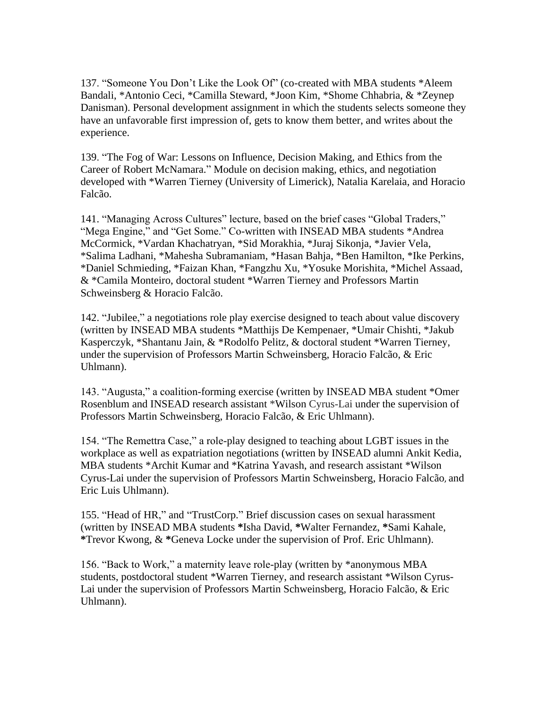137. "Someone You Don't Like the Look Of" (co-created with MBA students \*Aleem Bandali, \*Antonio Ceci, \*Camilla Steward, \*Joon Kim, \*Shome Chhabria, & \*Zeynep Danisman). Personal development assignment in which the students selects someone they have an unfavorable first impression of, gets to know them better, and writes about the experience.

139. "The Fog of War: Lessons on Influence, Decision Making, and Ethics from the Career of Robert McNamara." Module on decision making, ethics, and negotiation developed with \*Warren Tierney (University of Limerick), Natalia Karelaia, and Horacio Falcão.

141. "Managing Across Cultures" lecture, based on the brief cases "Global Traders," "Mega Engine," and "Get Some." Co-written with INSEAD MBA students \*Andrea McCormick, \*Vardan Khachatryan, \*Sid Morakhia, \*Juraj Sikonja, \*Javier Vela, \*Salima Ladhani, \*Mahesha Subramaniam, \*Hasan Bahja, \*Ben Hamilton, \*Ike Perkins, \*Daniel Schmieding, \*Faizan Khan, \*Fangzhu Xu, \*Yosuke Morishita, \*Michel Assaad, & \*Camila Monteiro, doctoral student \*Warren Tierney and Professors Martin Schweinsberg & Horacio Falcão.

142. "Jubilee," a negotiations role play exercise designed to teach about value discovery (written by INSEAD MBA students \*Matthijs De Kempenaer, \*Umair Chishti, \*Jakub Kasperczyk, \*Shantanu Jain, & \*Rodolfo Pelitz, & doctoral student \*Warren Tierney, under the supervision of Professors Martin Schweinsberg, Horacio Falcão, & Eric Uhlmann).

143. "Augusta," a coalition-forming exercise (written by INSEAD MBA student \*Omer Rosenblum and INSEAD research assistant \*Wilson Cyrus-Lai under the supervision of Professors Martin Schweinsberg, Horacio Falcão, & Eric Uhlmann).

154. "The Remettra Case," a role-play designed to teaching about LGBT issues in the workplace as well as expatriation negotiations (written by INSEAD alumni Ankit Kedia, MBA students \*Archit Kumar and \*Katrina Yavash, and research assistant \*Wilson Cyrus-Lai under the supervision of Professors Martin Schweinsberg, Horacio Falcão, and Eric Luis Uhlmann).

155. "Head of HR," and "TrustCorp." Brief discussion cases on sexual harassment (written by INSEAD MBA students **\***Isha David, **\***Walter Fernandez, **\***Sami Kahale, **\***Trevor Kwong, & **\***Geneva Locke under the supervision of Prof. Eric Uhlmann).

156. "Back to Work," a maternity leave role-play (written by \*anonymous MBA students, postdoctoral student \*Warren Tierney, and research assistant \*Wilson Cyrus-Lai under the supervision of Professors Martin Schweinsberg, Horacio Falcão, & Eric Uhlmann).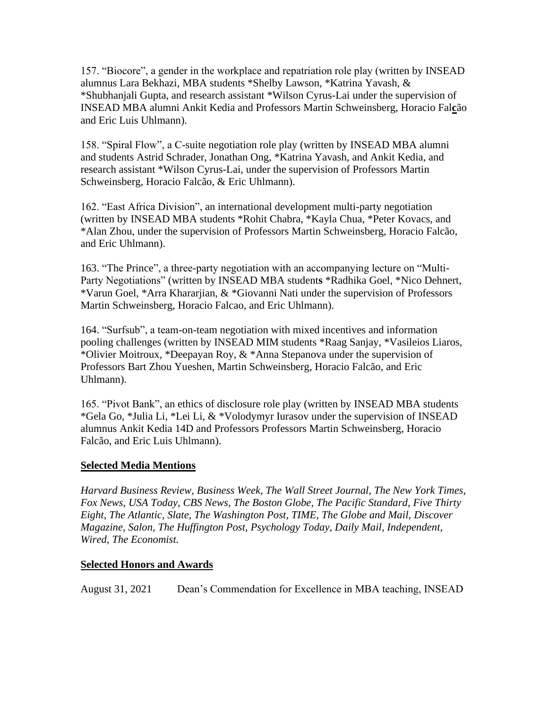157. "Biocore", a gender in the workplace and repatriation role play (written by INSEAD alumnus Lara Bekhazi, MBA students \*Shelby Lawson, \*Katrina Yavash, & \*Shubhanjali Gupta, and research assistant \*Wilson Cyrus-Lai under the supervision of INSEAD MBA alumni Ankit Kedia and Professors Martin Schweinsberg, Horacio Fal**c**ão and Eric Luis Uhlmann).

158. "Spiral Flow", a C-suite negotiation role play (written by INSEAD MBA alumni and students Astrid Schrader, Jonathan Ong, \*Katrina Yavash, and Ankit Kedia, and research assistant \*Wilson Cyrus-Lai, under the supervision of Professors Martin Schweinsberg, Horacio Falcão, & Eric Uhlmann).

162. "East Africa Division", an international development multi-party negotiation (written by INSEAD MBA students \*Rohit Chabra, \*Kayla Chua, \*Peter Kovacs, and \*Alan Zhou, under the supervision of Professors Martin Schweinsberg, Horacio Falcão, and Eric Uhlmann).

163. "The Prince", a three-party negotiation with an accompanying lecture on "Multi-Party Negotiations" (written by INSEAD MBA student**s** [\\*Radhika Goel,](mailto:Radhika%20Goel) [\\*Nico Dehnert,](mailto:Nico%20Dehnert) [\\*Varun Goel,](mailto:Varun%20Goel@insead.edu) \*Arra Khararjian, & \*Giovanni Nati under the supervision of Professors Martin Schweinsberg, Horacio Falcao, and Eric Uhlmann).

164. "Surfsub", a team-on-team negotiation with mixed incentives and information pooling challenges (written by INSEAD MIM students \*Raag Sanjay, \*Vasileios Liaros, \*Olivier Moitroux, \*Deepayan Roy, & \*Anna Stepanova under the supervision of Professors Bart Zhou Yueshen, Martin Schweinsberg, Horacio Falcão, and Eric Uhlmann).

165. "Pivot Bank", an ethics of disclosure role play (written by INSEAD MBA students \*Gela Go, \*Julia Li, \*Lei Li, & \*Volodymyr Iurasov under the supervision of INSEAD alumnus Ankit Kedia 14D and Professors Professors Martin Schweinsberg, Horacio Falcão, and Eric Luis Uhlmann).

#### **Selected Media Mentions**

*Harvard Business Review, Business Week, The Wall Street Journal*, *The New York Times, Fox News*, *USA Today*, *CBS News*, *The Boston Globe*, *The Pacific Standard*, *Five Thirty Eight, The Atlantic, Slate, The Washington Post, TIME, The Globe and Mail, Discover Magazine, Salon, The Huffington Post, Psychology Today, Daily Mail, Independent, Wired, The Economist.* 

#### **Selected Honors and Awards**

August 31, 2021 Dean's Commendation for Excellence in MBA teaching, INSEAD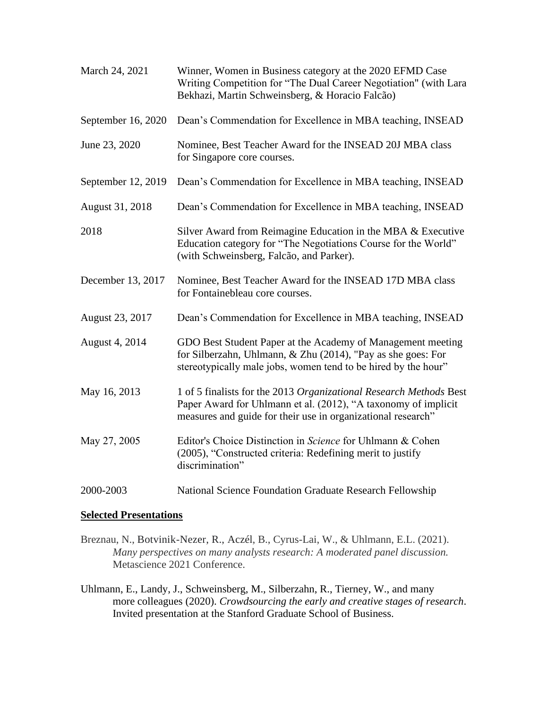| March 24, 2021     | Winner, Women in Business category at the 2020 EFMD Case<br>Writing Competition for "The Dual Career Negotiation" (with Lara<br>Bekhazi, Martin Schweinsberg, & Horacio Falcão)                      |
|--------------------|------------------------------------------------------------------------------------------------------------------------------------------------------------------------------------------------------|
| September 16, 2020 | Dean's Commendation for Excellence in MBA teaching, INSEAD                                                                                                                                           |
| June 23, 2020      | Nominee, Best Teacher Award for the INSEAD 20J MBA class<br>for Singapore core courses.                                                                                                              |
| September 12, 2019 | Dean's Commendation for Excellence in MBA teaching, INSEAD                                                                                                                                           |
| August 31, 2018    | Dean's Commendation for Excellence in MBA teaching, INSEAD                                                                                                                                           |
| 2018               | Silver Award from Reimagine Education in the MBA & Executive<br>Education category for "The Negotiations Course for the World"<br>(with Schweinsberg, Falcão, and Parker).                           |
| December 13, 2017  | Nominee, Best Teacher Award for the INSEAD 17D MBA class<br>for Fontainebleau core courses.                                                                                                          |
| August 23, 2017    | Dean's Commendation for Excellence in MBA teaching, INSEAD                                                                                                                                           |
| August 4, 2014     | GDO Best Student Paper at the Academy of Management meeting<br>for Silberzahn, Uhlmann, & Zhu (2014), "Pay as she goes: For<br>stereotypically male jobs, women tend to be hired by the hour"        |
| May 16, 2013       | 1 of 5 finalists for the 2013 Organizational Research Methods Best<br>Paper Award for Uhlmann et al. (2012), "A taxonomy of implicit<br>measures and guide for their use in organizational research" |
| May 27, 2005       | Editor's Choice Distinction in Science for Uhlmann & Cohen<br>(2005), "Constructed criteria: Redefining merit to justify<br>discrimination"                                                          |
| 2000-2003          | National Science Foundation Graduate Research Fellowship                                                                                                                                             |

#### **Selected Presentations**

- Breznau, N., Botvinik-Nezer, R., Aczél, B., Cyrus-Lai, W., & Uhlmann, E.L. (2021). *Many perspectives on many analysts research: A moderated panel discussion.*  Metascience 2021 Conference.
- Uhlmann, E., Landy, J., Schweinsberg, M., Silberzahn, R., Tierney, W., and many more colleagues (2020). *Crowdsourcing the early and creative stages of research*. Invited presentation at the Stanford Graduate School of Business.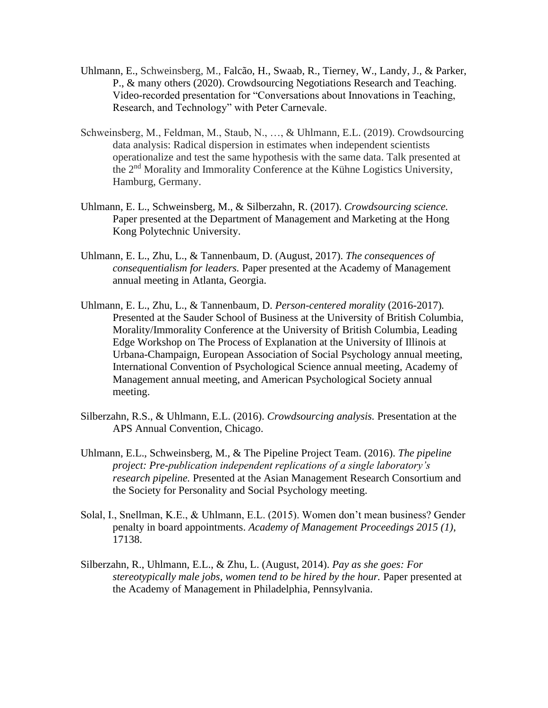- Uhlmann, E., Schweinsberg, M., Falcão, H., Swaab, R., Tierney, W., Landy, J., & Parker, P., & many others (2020). Crowdsourcing Negotiations Research and Teaching. Video-recorded presentation for "Conversations about Innovations in Teaching, Research, and Technology" with Peter Carnevale.
- Schweinsberg, M., Feldman, M., Staub, N., …, & Uhlmann, E.L. (2019). Crowdsourcing data analysis: Radical dispersion in estimates when independent scientists operationalize and test the same hypothesis with the same data. Talk presented at the 2nd Morality and Immorality Conference at the Kühne Logistics University, Hamburg, Germany.
- Uhlmann, E. L., Schweinsberg, M., & Silberzahn, R. (2017). *Crowdsourcing science.* Paper presented at the Department of Management and Marketing at the Hong Kong Polytechnic University.
- Uhlmann, E. L., Zhu, L., & Tannenbaum, D. (August, 2017). *The consequences of consequentialism for leaders.* Paper presented at the Academy of Management annual meeting in Atlanta, Georgia.
- Uhlmann, E. L., Zhu, L., & Tannenbaum, D. *Person-centered morality* (2016-2017)*.* Presented at the Sauder School of Business at the University of British Columbia, Morality/Immorality Conference at the University of British Columbia, Leading Edge Workshop on The Process of Explanation at the University of Illinois at Urbana-Champaign, European Association of Social Psychology annual meeting, International Convention of Psychological Science annual meeting, Academy of Management annual meeting, and American Psychological Society annual meeting.
- Silberzahn, R.S., & Uhlmann, E.L. (2016). *Crowdsourcing analysis.* Presentation at the APS Annual Convention, Chicago.
- Uhlmann, E.L., Schweinsberg, M., & The Pipeline Project Team. (2016). *The pipeline project: Pre-publication independent replications of a single laboratory's research pipeline.* Presented at the Asian Management Research Consortium and the Society for Personality and Social Psychology meeting.
- Solal, I., Snellman, K.E., & Uhlmann, E.L. (2015). Women don't mean business? Gender penalty in board appointments. *Academy of Management Proceedings 2015 (1)*, 17138.
- Silberzahn, R., Uhlmann, E.L., & Zhu, L. (August, 2014). *Pay as she goes: For stereotypically male jobs, women tend to be hired by the hour.* Paper presented at the Academy of Management in Philadelphia, Pennsylvania.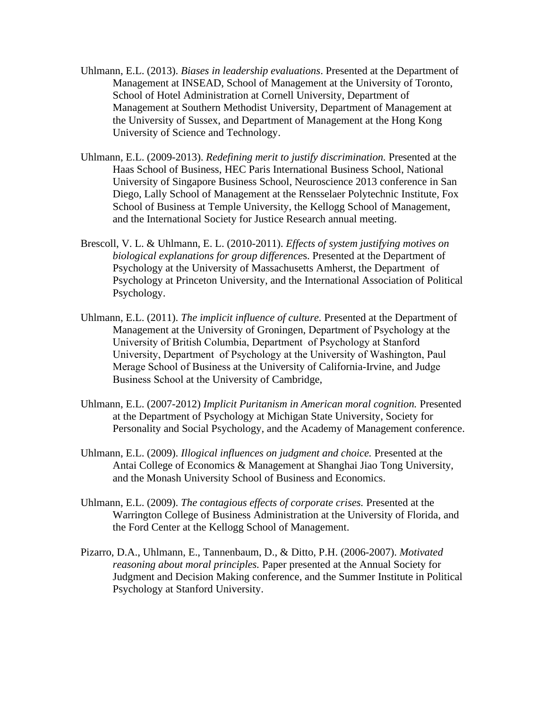- Uhlmann, E.L. (2013). *Biases in leadership evaluations*. Presented at the Department of Management at INSEAD, School of Management at the University of Toronto, School of Hotel Administration at Cornell University, Department of Management at Southern Methodist University, Department of Management at the University of Sussex, and Department of Management at the Hong Kong University of Science and Technology.
- Uhlmann, E.L. (2009-2013). *Redefining merit to justify discrimination.* Presented at the Haas School of Business, HEC Paris International Business School, National University of Singapore Business School, Neuroscience 2013 conference in San Diego, Lally School of Management at the [Rensselaer Polytechnic Institute,](http://en.wikipedia.org/wiki/Rensselaer_Polytechnic_Institute) Fox School of Business at Temple University, the Kellogg School of Management, and the International Society for Justice Research annual meeting.
- Brescoll, V. L. & Uhlmann, E. L. (2010-2011). *Effects of system justifying motives on biological explanations for group difference*s. Presented at the Department of Psychology at the University of Massachusetts Amherst, the Department of Psychology at Princeton University, and the International Association of Political Psychology.
- Uhlmann, E.L. (2011). *The implicit influence of culture.* Presented at the Department of Management at the University of Groningen, Department of Psychology at the University of British Columbia, Department of Psychology at Stanford University, Department of Psychology at the University of Washington, Paul Merage School of Business at the University of California-Irvine, and Judge Business School at the University of Cambridge,
- Uhlmann, E.L. (2007-2012) *Implicit Puritanism in American moral cognition.* Presented at the Department of Psychology at [Michigan State University,](http://psychology.msu.edu/) Society for Personality and Social Psychology, and the Academy of Management conference.
- Uhlmann, E.L. (2009). *Illogical influences on judgment and choice.* Presented at the Antai College of Economics & Management at Shanghai Jiao Tong University, and the Monash University School of Business and Economics.
- Uhlmann, E.L. (2009). *The contagious effects of corporate crises.* Presented at the Warrington College of Business Administration at the University of Florida, and the Ford Center at the Kellogg School of Management.
- Pizarro, D.A., Uhlmann, E., Tannenbaum, D., & Ditto, P.H. (2006-2007). *Motivated reasoning about moral principles.* Paper presented at the Annual Society for Judgment and Decision Making conference, and the Summer Institute in Political Psychology at Stanford University.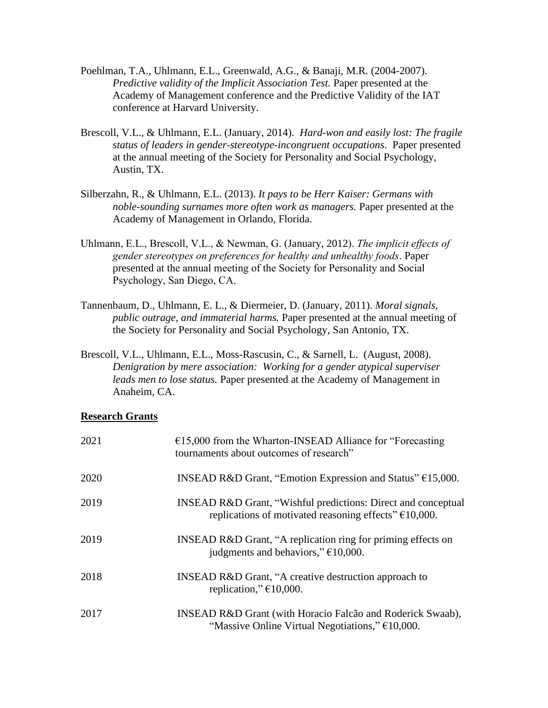- Poehlman, T.A., Uhlmann, E.L., Greenwald, A.G., & Banaji, M.R. (2004-2007). *Predictive validity of the Implicit Association Test.* Paper presented at the Academy of Management conference and the Predictive Validity of the IAT conference at Harvard University.
- Brescoll, V.L., & Uhlmann, E.L. (January, 2014). *Hard-won and easily lost: The fragile status of leaders in gender-stereotype-incongruent occupations*. Paper presented at the annual meeting of the Society for Personality and Social Psychology, Austin, TX.
- Silberzahn, R., & Uhlmann, E.L. (2013). *It pays to be Herr Kaiser: Germans with noble-sounding surnames more often work as managers.* Paper presented at the Academy of Management in Orlando, Florida.
- Uhlmann, E.L., Brescoll, V.L., & Newman, G. (January, 2012). *The implicit effects of gender stereotypes on preferences for healthy and unhealthy foods*. Paper presented at the annual meeting of the Society for Personality and Social Psychology, San Diego, CA.
- Tannenbaum, D., Uhlmann, E. L., & Diermeier, D. (January, 2011). *Moral signals, public outrage, and immaterial harms.* Paper presented at the annual meeting of the Society for Personality and Social Psychology, San Antonio, TX.
- Brescoll, V.L., Uhlmann, E.L., Moss-Rascusin, C., & Sarnell, L. (August, 2008). *Denigration by mere association: Working for a gender atypical superviser leads men to lose status.* Paper presented at the Academy of Management in Anaheim, CA.

#### **Research Grants**

| 2021 | $£15,000$ from the Wharton-INSEAD Alliance for "Forecasting"<br>tournaments about outcomes of research"                                     |
|------|---------------------------------------------------------------------------------------------------------------------------------------------|
| 2020 | <b>INSEAD R&amp;D Grant, "Emotion Expression and Status"</b> $\epsilon$ 15,000.                                                             |
| 2019 | <b>INSEAD R&amp;D Grant, "Wishful predictions: Direct and conceptual</b><br>replications of motivated reasoning effects" $\epsilon$ 10,000. |
| 2019 | INSEAD R&D Grant, "A replication ring for priming effects on<br>judgments and behaviors," $\epsilon$ 10,000.                                |
| 2018 | <b>INSEAD R&amp;D Grant, "A creative destruction approach to</b><br>replication," $\epsilon$ 10,000.                                        |
| 2017 | INSEAD R&D Grant (with Horacio Falcão and Roderick Swaab),<br>"Massive Online Virtual Negotiations," $\epsilon$ 10,000.                     |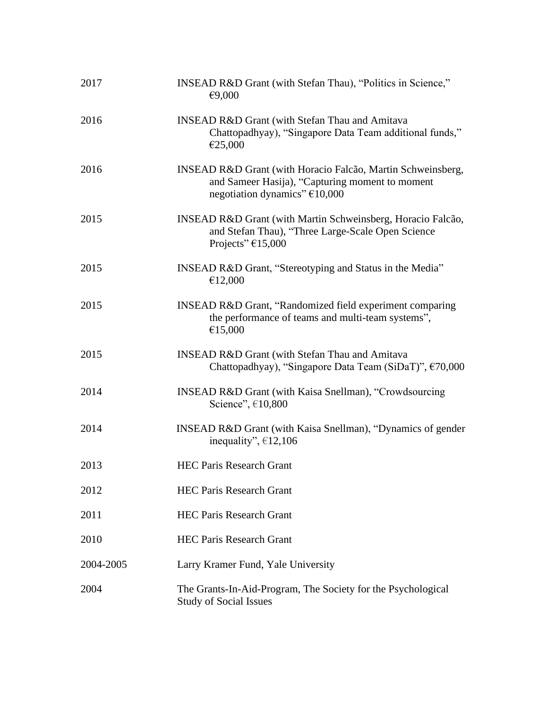| 2017      | INSEAD R&D Grant (with Stefan Thau), "Politics in Science,"<br>€9,000                                                                             |
|-----------|---------------------------------------------------------------------------------------------------------------------------------------------------|
| 2016      | <b>INSEAD R&amp;D Grant (with Stefan Thau and Amitava</b><br>Chattopadhyay), "Singapore Data Team additional funds,"<br>€25,000                   |
| 2016      | INSEAD R&D Grant (with Horacio Falcão, Martin Schweinsberg,<br>and Sameer Hasija), "Capturing moment to moment<br>negotiation dynamics" $€10,000$ |
| 2015      | INSEAD R&D Grant (with Martin Schweinsberg, Horacio Falcão,<br>and Stefan Thau), "Three Large-Scale Open Science<br>Projects" $£15,000$           |
| 2015      | INSEAD R&D Grant, "Stereotyping and Status in the Media"<br>€12,000                                                                               |
| 2015      | INSEAD R&D Grant, "Randomized field experiment comparing<br>the performance of teams and multi-team systems",<br>€15,000                          |
| 2015      | <b>INSEAD R&amp;D Grant (with Stefan Thau and Amitava</b><br>Chattopadhyay), "Singapore Data Team (SiDaT)", €70,000                               |
| 2014      | <b>INSEAD R&amp;D Grant (with Kaisa Snellman), "Crowdsourcing</b><br>Science", €10,800                                                            |
| 2014      | INSEAD R&D Grant (with Kaisa Snellman), "Dynamics of gender<br>inequality", $\epsilon$ 12,106                                                     |
| 2013      | <b>HEC Paris Research Grant</b>                                                                                                                   |
| 2012      | <b>HEC Paris Research Grant</b>                                                                                                                   |
| 2011      | <b>HEC Paris Research Grant</b>                                                                                                                   |
| 2010      | <b>HEC Paris Research Grant</b>                                                                                                                   |
| 2004-2005 | Larry Kramer Fund, Yale University                                                                                                                |
| 2004      | The Grants-In-Aid-Program, The Society for the Psychological<br><b>Study of Social Issues</b>                                                     |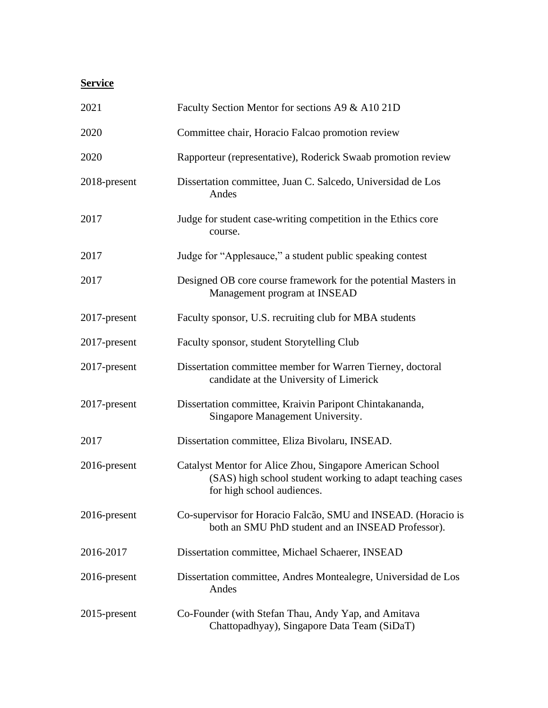## **Service**

| 2021            | Faculty Section Mentor for sections A9 & A10 21D                                                                                                     |
|-----------------|------------------------------------------------------------------------------------------------------------------------------------------------------|
| 2020            | Committee chair, Horacio Falcao promotion review                                                                                                     |
| 2020            | Rapporteur (representative), Roderick Swaab promotion review                                                                                         |
| 2018-present    | Dissertation committee, Juan C. Salcedo, Universidad de Los<br>Andes                                                                                 |
| 2017            | Judge for student case-writing competition in the Ethics core<br>course.                                                                             |
| 2017            | Judge for "Applesauce," a student public speaking contest                                                                                            |
| 2017            | Designed OB core course framework for the potential Masters in<br>Management program at INSEAD                                                       |
| 2017-present    | Faculty sponsor, U.S. recruiting club for MBA students                                                                                               |
| 2017-present    | Faculty sponsor, student Storytelling Club                                                                                                           |
| 2017-present    | Dissertation committee member for Warren Tierney, doctoral<br>candidate at the University of Limerick                                                |
| 2017-present    | Dissertation committee, Kraivin Paripont Chintakananda,<br>Singapore Management University.                                                          |
| 2017            | Dissertation committee, Eliza Bivolaru, INSEAD.                                                                                                      |
| 2016-present    | Catalyst Mentor for Alice Zhou, Singapore American School<br>(SAS) high school student working to adapt teaching cases<br>for high school audiences. |
| $2016$ -present | Co-supervisor for Horacio Falcão, SMU and INSEAD. (Horacio is<br>both an SMU PhD student and an INSEAD Professor).                                   |
| 2016-2017       | Dissertation committee, Michael Schaerer, INSEAD                                                                                                     |
| $2016$ -present | Dissertation committee, Andres Montealegre, Universidad de Los<br>Andes                                                                              |
| $2015$ -present | Co-Founder (with Stefan Thau, Andy Yap, and Amitava<br>Chattopadhyay), Singapore Data Team (SiDaT)                                                   |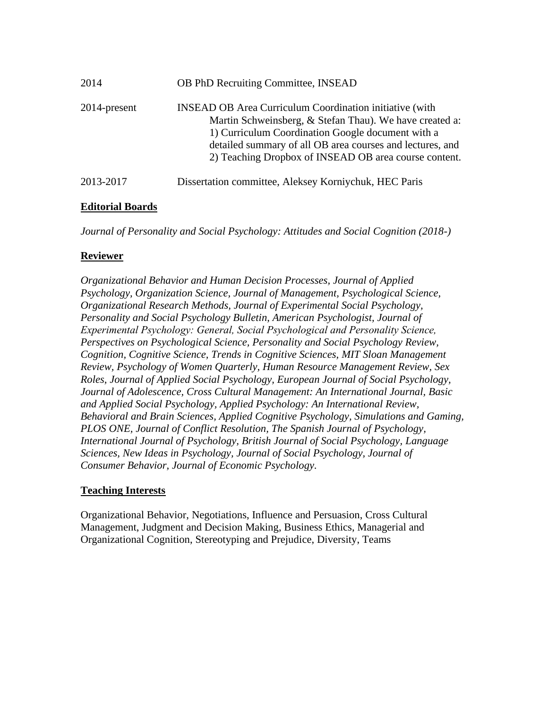| 2014         | <b>OB PhD Recruiting Committee, INSEAD</b>                                                                                                                                                                                                                                                           |
|--------------|------------------------------------------------------------------------------------------------------------------------------------------------------------------------------------------------------------------------------------------------------------------------------------------------------|
| 2014-present | <b>INSEAD OB Area Curriculum Coordination initiative (with</b><br>Martin Schweinsberg, & Stefan Thau). We have created a:<br>1) Curriculum Coordination Google document with a<br>detailed summary of all OB area courses and lectures, and<br>2) Teaching Dropbox of INSEAD OB area course content. |
| 2013-2017    | Dissertation committee, Aleksey Korniychuk, HEC Paris                                                                                                                                                                                                                                                |

### **Editorial Boards**

*Journal of Personality and Social Psychology: Attitudes and Social Cognition (2018-)*

### **Reviewer**

*Organizational Behavior and Human Decision Processes, Journal of Applied Psychology, Organization Science, Journal of Management, Psychological Science, Organizational Research Methods, Journal of Experimental Social Psychology, Personality and Social Psychology Bulletin, American Psychologist, Journal of Experimental Psychology: General, Social Psychological and Personality Science, Perspectives on Psychological Science, Personality and Social Psychology Review, Cognition, Cognitive Science, Trends in Cognitive Sciences, MIT Sloan Management Review, Psychology of Women Quarterly, Human Resource Management Review, Sex Roles, Journal of Applied Social Psychology, European Journal of Social Psychology, Journal of Adolescence, Cross Cultural Management: An International Journal, Basic and Applied Social Psychology, Applied Psychology: An International Review, Behavioral and Brain Sciences, Applied Cognitive Psychology, Simulations and Gaming, PLOS ONE, Journal of Conflict Resolution, The Spanish Journal of Psychology, International Journal of Psychology, British Journal of Social Psychology, Language Sciences, New Ideas in Psychology, Journal of Social Psychology, Journal of Consumer Behavior, Journal of Economic Psychology.* 

## **Teaching Interests**

Organizational Behavior, Negotiations, Influence and Persuasion, Cross Cultural Management, Judgment and Decision Making, Business Ethics, Managerial and Organizational Cognition, Stereotyping and Prejudice, Diversity, Teams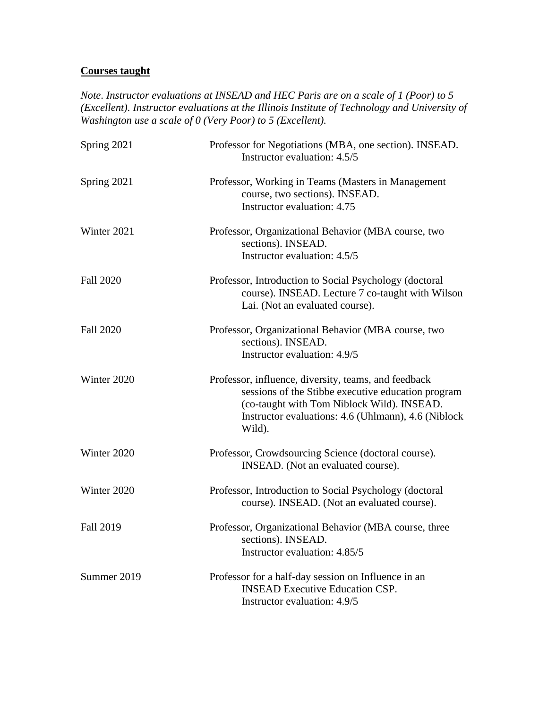## **Courses taught**

*Note*. *Instructor evaluations at INSEAD and HEC Paris are on a scale of 1 (Poor) to 5 (Excellent). Instructor evaluations at the Illinois Institute of Technology and University of Washington use a scale of 0 (Very Poor) to 5 (Excellent).*

| Spring 2021      | Professor for Negotiations (MBA, one section). INSEAD.<br>Instructor evaluation: 4.5/5                                                                                                                                    |
|------------------|---------------------------------------------------------------------------------------------------------------------------------------------------------------------------------------------------------------------------|
| Spring 2021      | Professor, Working in Teams (Masters in Management<br>course, two sections). INSEAD.<br>Instructor evaluation: 4.75                                                                                                       |
| Winter 2021      | Professor, Organizational Behavior (MBA course, two<br>sections). INSEAD.<br>Instructor evaluation: 4.5/5                                                                                                                 |
| <b>Fall 2020</b> | Professor, Introduction to Social Psychology (doctoral<br>course). INSEAD. Lecture 7 co-taught with Wilson<br>Lai. (Not an evaluated course).                                                                             |
| <b>Fall 2020</b> | Professor, Organizational Behavior (MBA course, two<br>sections). INSEAD.<br>Instructor evaluation: 4.9/5                                                                                                                 |
| Winter 2020      | Professor, influence, diversity, teams, and feedback<br>sessions of the Stibbe executive education program<br>(co-taught with Tom Niblock Wild). INSEAD.<br>Instructor evaluations: 4.6 (Uhlmann), 4.6 (Niblock<br>Wild). |
| Winter 2020      | Professor, Crowdsourcing Science (doctoral course).<br>INSEAD. (Not an evaluated course).                                                                                                                                 |
| Winter 2020      | Professor, Introduction to Social Psychology (doctoral<br>course). INSEAD. (Not an evaluated course).                                                                                                                     |
| <b>Fall 2019</b> | Professor, Organizational Behavior (MBA course, three<br>sections). INSEAD.<br>Instructor evaluation: 4.85/5                                                                                                              |
| Summer 2019      | Professor for a half-day session on Influence in an<br><b>INSEAD Executive Education CSP.</b><br>Instructor evaluation: 4.9/5                                                                                             |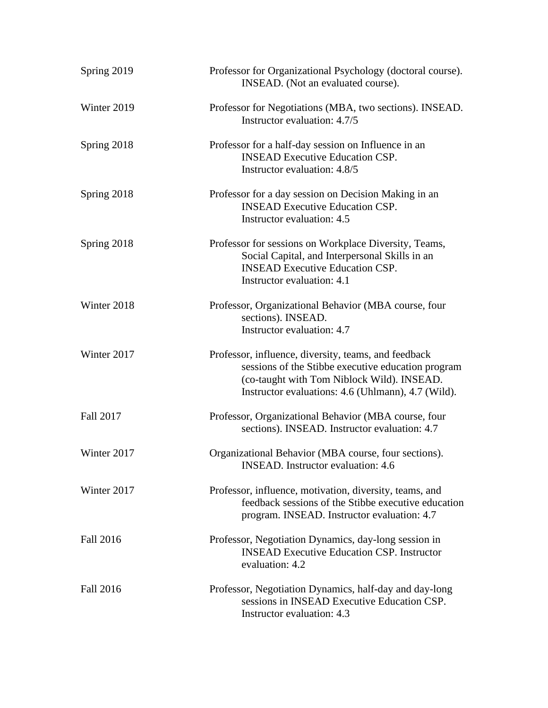| Spring 2019      | Professor for Organizational Psychology (doctoral course).<br>INSEAD. (Not an evaluated course).                                                                                                               |
|------------------|----------------------------------------------------------------------------------------------------------------------------------------------------------------------------------------------------------------|
| Winter 2019      | Professor for Negotiations (MBA, two sections). INSEAD.<br>Instructor evaluation: 4.7/5                                                                                                                        |
| Spring 2018      | Professor for a half-day session on Influence in an<br><b>INSEAD Executive Education CSP.</b><br>Instructor evaluation: 4.8/5                                                                                  |
| Spring 2018      | Professor for a day session on Decision Making in an<br><b>INSEAD Executive Education CSP.</b><br>Instructor evaluation: 4.5                                                                                   |
| Spring 2018      | Professor for sessions on Workplace Diversity, Teams,<br>Social Capital, and Interpersonal Skills in an<br><b>INSEAD Executive Education CSP.</b><br>Instructor evaluation: 4.1                                |
| Winter 2018      | Professor, Organizational Behavior (MBA course, four<br>sections). INSEAD.<br>Instructor evaluation: 4.7                                                                                                       |
| Winter 2017      | Professor, influence, diversity, teams, and feedback<br>sessions of the Stibbe executive education program<br>(co-taught with Tom Niblock Wild). INSEAD.<br>Instructor evaluations: 4.6 (Uhlmann), 4.7 (Wild). |
| Fall 2017        | Professor, Organizational Behavior (MBA course, four<br>sections). INSEAD. Instructor evaluation: 4.7                                                                                                          |
| Winter 2017      | Organizational Behavior (MBA course, four sections).<br><b>INSEAD.</b> Instructor evaluation: 4.6                                                                                                              |
| Winter 2017      | Professor, influence, motivation, diversity, teams, and<br>feedback sessions of the Stibbe executive education<br>program. INSEAD. Instructor evaluation: 4.7                                                  |
| <b>Fall 2016</b> | Professor, Negotiation Dynamics, day-long session in<br><b>INSEAD Executive Education CSP. Instructor</b><br>evaluation: 4.2                                                                                   |
| <b>Fall 2016</b> | Professor, Negotiation Dynamics, half-day and day-long<br>sessions in INSEAD Executive Education CSP.<br>Instructor evaluation: 4.3                                                                            |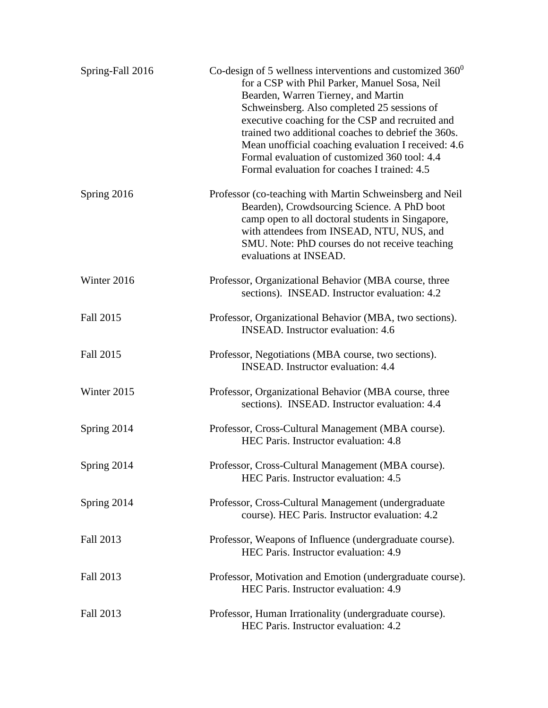| Spring-Fall 2016 | Co-design of 5 wellness interventions and customized $360^0$<br>for a CSP with Phil Parker, Manuel Sosa, Neil<br>Bearden, Warren Tierney, and Martin<br>Schweinsberg. Also completed 25 sessions of<br>executive coaching for the CSP and recruited and<br>trained two additional coaches to debrief the 360s.<br>Mean unofficial coaching evaluation I received: 4.6<br>Formal evaluation of customized 360 tool: 4.4<br>Formal evaluation for coaches I trained: 4.5 |
|------------------|------------------------------------------------------------------------------------------------------------------------------------------------------------------------------------------------------------------------------------------------------------------------------------------------------------------------------------------------------------------------------------------------------------------------------------------------------------------------|
| Spring 2016      | Professor (co-teaching with Martin Schweinsberg and Neil<br>Bearden), Crowdsourcing Science. A PhD boot<br>camp open to all doctoral students in Singapore,<br>with attendees from INSEAD, NTU, NUS, and<br>SMU. Note: PhD courses do not receive teaching<br>evaluations at INSEAD.                                                                                                                                                                                   |
| Winter 2016      | Professor, Organizational Behavior (MBA course, three<br>sections). INSEAD. Instructor evaluation: 4.2                                                                                                                                                                                                                                                                                                                                                                 |
| Fall 2015        | Professor, Organizational Behavior (MBA, two sections).<br><b>INSEAD.</b> Instructor evaluation: 4.6                                                                                                                                                                                                                                                                                                                                                                   |
| Fall 2015        | Professor, Negotiations (MBA course, two sections).<br><b>INSEAD.</b> Instructor evaluation: 4.4                                                                                                                                                                                                                                                                                                                                                                       |
| Winter 2015      | Professor, Organizational Behavior (MBA course, three<br>sections). INSEAD. Instructor evaluation: 4.4                                                                                                                                                                                                                                                                                                                                                                 |
| Spring 2014      | Professor, Cross-Cultural Management (MBA course).<br>HEC Paris. Instructor evaluation: 4.8                                                                                                                                                                                                                                                                                                                                                                            |
| Spring 2014      | Professor, Cross-Cultural Management (MBA course).<br>HEC Paris. Instructor evaluation: 4.5                                                                                                                                                                                                                                                                                                                                                                            |
| Spring 2014      | Professor, Cross-Cultural Management (undergraduate<br>course). HEC Paris. Instructor evaluation: 4.2                                                                                                                                                                                                                                                                                                                                                                  |
| Fall 2013        | Professor, Weapons of Influence (undergraduate course).<br>HEC Paris. Instructor evaluation: 4.9                                                                                                                                                                                                                                                                                                                                                                       |
| Fall 2013        | Professor, Motivation and Emotion (undergraduate course).<br>HEC Paris. Instructor evaluation: 4.9                                                                                                                                                                                                                                                                                                                                                                     |
| Fall 2013        | Professor, Human Irrationality (undergraduate course).<br>HEC Paris. Instructor evaluation: 4.2                                                                                                                                                                                                                                                                                                                                                                        |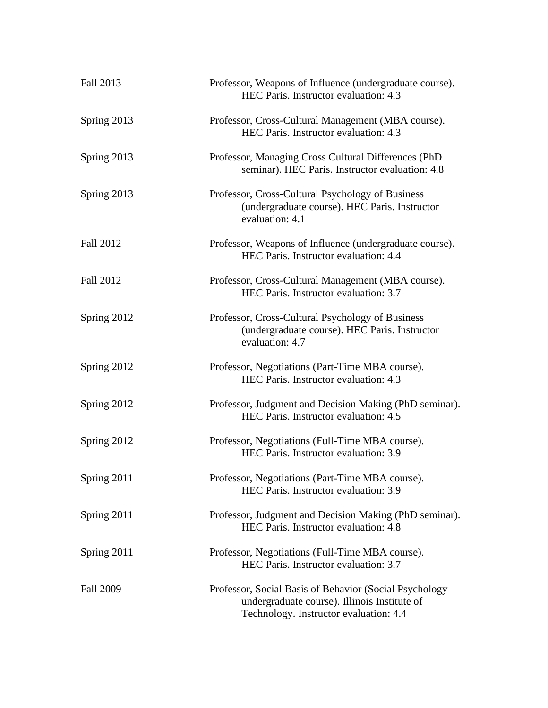| Fall 2013        | Professor, Weapons of Influence (undergraduate course).<br>HEC Paris. Instructor evaluation: 4.3                                                 |
|------------------|--------------------------------------------------------------------------------------------------------------------------------------------------|
| Spring 2013      | Professor, Cross-Cultural Management (MBA course).<br>HEC Paris. Instructor evaluation: 4.3                                                      |
| Spring 2013      | Professor, Managing Cross Cultural Differences (PhD<br>seminar). HEC Paris. Instructor evaluation: 4.8                                           |
| Spring 2013      | Professor, Cross-Cultural Psychology of Business<br>(undergraduate course). HEC Paris. Instructor<br>evaluation: 4.1                             |
| <b>Fall 2012</b> | Professor, Weapons of Influence (undergraduate course).<br>HEC Paris. Instructor evaluation: 4.4                                                 |
| Fall 2012        | Professor, Cross-Cultural Management (MBA course).<br>HEC Paris. Instructor evaluation: 3.7                                                      |
| Spring 2012      | Professor, Cross-Cultural Psychology of Business<br>(undergraduate course). HEC Paris. Instructor<br>evaluation: 4.7                             |
| Spring 2012      | Professor, Negotiations (Part-Time MBA course).<br>HEC Paris. Instructor evaluation: 4.3                                                         |
| Spring 2012      | Professor, Judgment and Decision Making (PhD seminar).<br>HEC Paris. Instructor evaluation: 4.5                                                  |
| Spring 2012      | Professor, Negotiations (Full-Time MBA course).<br>HEC Paris. Instructor evaluation: 3.9                                                         |
| Spring 2011      | Professor, Negotiations (Part-Time MBA course).<br>HEC Paris. Instructor evaluation: 3.9                                                         |
| Spring 2011      | Professor, Judgment and Decision Making (PhD seminar).<br>HEC Paris. Instructor evaluation: 4.8                                                  |
| Spring 2011      | Professor, Negotiations (Full-Time MBA course).<br>HEC Paris. Instructor evaluation: 3.7                                                         |
| <b>Fall 2009</b> | Professor, Social Basis of Behavior (Social Psychology<br>undergraduate course). Illinois Institute of<br>Technology. Instructor evaluation: 4.4 |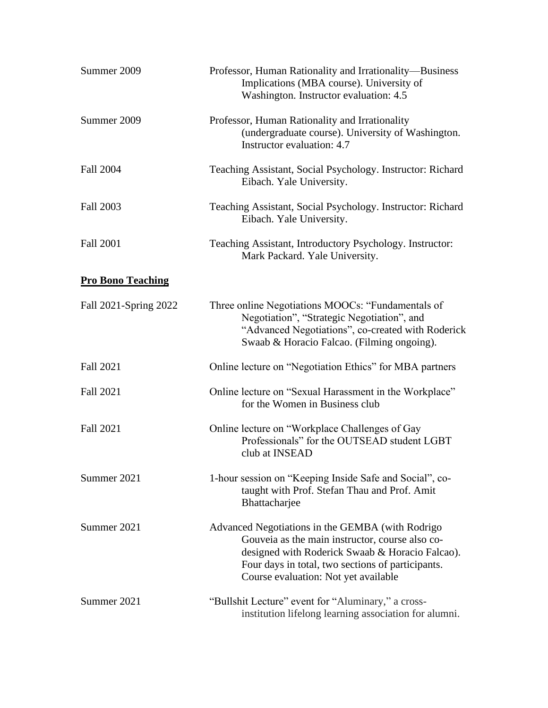| Summer 2009              | Professor, Human Rationality and Irrationality—Business<br>Implications (MBA course). University of<br>Washington. Instructor evaluation: 4.5                                                                                                       |
|--------------------------|-----------------------------------------------------------------------------------------------------------------------------------------------------------------------------------------------------------------------------------------------------|
| Summer 2009              | Professor, Human Rationality and Irrationality<br>(undergraduate course). University of Washington.<br>Instructor evaluation: 4.7                                                                                                                   |
| <b>Fall 2004</b>         | Teaching Assistant, Social Psychology. Instructor: Richard<br>Eibach. Yale University.                                                                                                                                                              |
| Fall 2003                | Teaching Assistant, Social Psychology. Instructor: Richard<br>Eibach. Yale University.                                                                                                                                                              |
| <b>Fall 2001</b>         | Teaching Assistant, Introductory Psychology. Instructor:<br>Mark Packard. Yale University.                                                                                                                                                          |
| <b>Pro Bono Teaching</b> |                                                                                                                                                                                                                                                     |
| Fall 2021-Spring 2022    | Three online Negotiations MOOCs: "Fundamentals of<br>Negotiation", "Strategic Negotiation", and<br>"Advanced Negotiations", co-created with Roderick<br>Swaab & Horacio Falcao. (Filming ongoing).                                                  |
| <b>Fall 2021</b>         | Online lecture on "Negotiation Ethics" for MBA partners                                                                                                                                                                                             |
| <b>Fall 2021</b>         | Online lecture on "Sexual Harassment in the Workplace"<br>for the Women in Business club                                                                                                                                                            |
| <b>Fall 2021</b>         | Online lecture on "Workplace Challenges of Gay<br>Professionals" for the OUTSEAD student LGBT<br>club at INSEAD                                                                                                                                     |
| Summer 2021              | 1-hour session on "Keeping Inside Safe and Social", co-<br>taught with Prof. Stefan Thau and Prof. Amit<br>Bhattacharjee                                                                                                                            |
| Summer 2021              | Advanced Negotiations in the GEMBA (with Rodrigo<br>Gouveia as the main instructor, course also co-<br>designed with Roderick Swaab & Horacio Falcao).<br>Four days in total, two sections of participants.<br>Course evaluation: Not yet available |
| Summer 2021              | "Bullshit Lecture" event for "Aluminary," a cross-<br>institution lifelong learning association for alumni.                                                                                                                                         |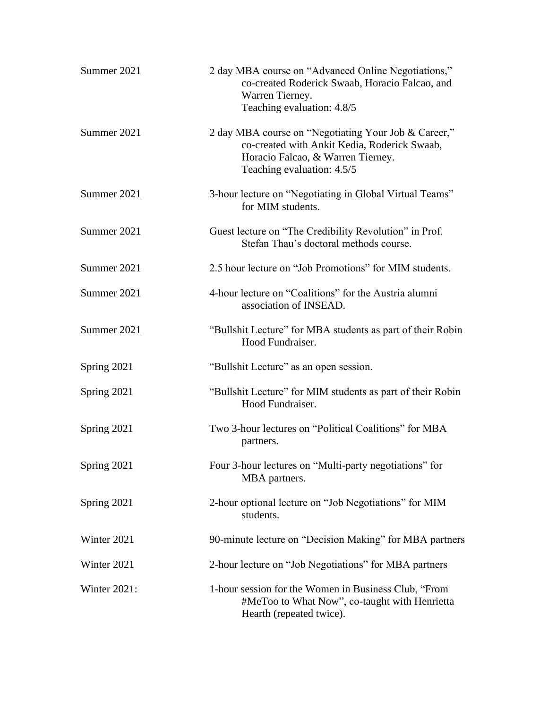| Summer 2021  | 2 day MBA course on "Advanced Online Negotiations,"<br>co-created Roderick Swaab, Horacio Falcao, and<br>Warren Tierney.<br>Teaching evaluation: 4.8/5                  |
|--------------|-------------------------------------------------------------------------------------------------------------------------------------------------------------------------|
| Summer 2021  | 2 day MBA course on "Negotiating Your Job & Career,"<br>co-created with Ankit Kedia, Roderick Swaab,<br>Horacio Falcao, & Warren Tierney.<br>Teaching evaluation: 4.5/5 |
| Summer 2021  | 3-hour lecture on "Negotiating in Global Virtual Teams"<br>for MIM students.                                                                                            |
| Summer 2021  | Guest lecture on "The Credibility Revolution" in Prof.<br>Stefan Thau's doctoral methods course.                                                                        |
| Summer 2021  | 2.5 hour lecture on "Job Promotions" for MIM students.                                                                                                                  |
| Summer 2021  | 4-hour lecture on "Coalitions" for the Austria alumni<br>association of INSEAD.                                                                                         |
| Summer 2021  | "Bullshit Lecture" for MBA students as part of their Robin<br>Hood Fundraiser.                                                                                          |
| Spring 2021  | "Bullshit Lecture" as an open session.                                                                                                                                  |
| Spring 2021  | "Bullshit Lecture" for MIM students as part of their Robin<br>Hood Fundraiser.                                                                                          |
| Spring 2021  | Two 3-hour lectures on "Political Coalitions" for MBA<br>partners.                                                                                                      |
| Spring 2021  | Four 3-hour lectures on "Multi-party negotiations" for<br>MBA partners.                                                                                                 |
| Spring 2021  | 2-hour optional lecture on "Job Negotiations" for MIM<br>students.                                                                                                      |
| Winter 2021  | 90-minute lecture on "Decision Making" for MBA partners                                                                                                                 |
| Winter 2021  | 2-hour lecture on "Job Negotiations" for MBA partners                                                                                                                   |
| Winter 2021: | 1-hour session for the Women in Business Club, "From<br>#MeToo to What Now", co-taught with Henrietta<br>Hearth (repeated twice).                                       |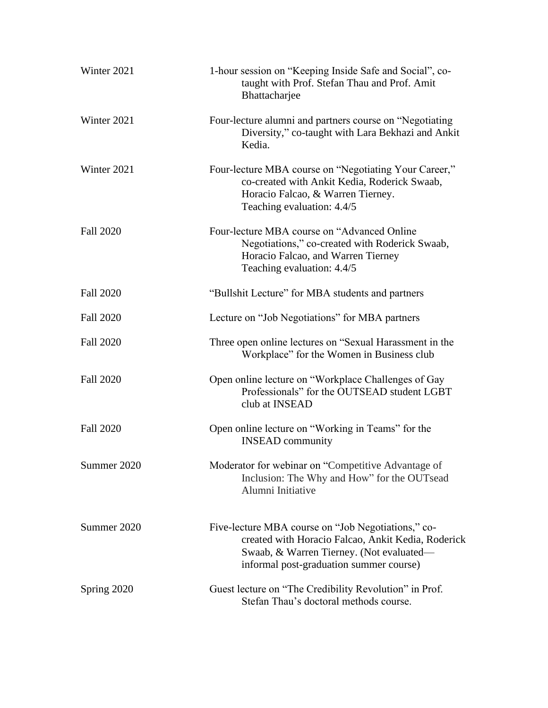| Winter 2021      | 1-hour session on "Keeping Inside Safe and Social", co-<br>taught with Prof. Stefan Thau and Prof. Amit<br>Bhattacharjee                                                                        |
|------------------|-------------------------------------------------------------------------------------------------------------------------------------------------------------------------------------------------|
| Winter 2021      | Four-lecture alumni and partners course on "Negotiating<br>Diversity," co-taught with Lara Bekhazi and Ankit<br>Kedia.                                                                          |
| Winter 2021      | Four-lecture MBA course on "Negotiating Your Career,"<br>co-created with Ankit Kedia, Roderick Swaab,<br>Horacio Falcao, & Warren Tierney.<br>Teaching evaluation: 4.4/5                        |
| <b>Fall 2020</b> | Four-lecture MBA course on "Advanced Online"<br>Negotiations," co-created with Roderick Swaab,<br>Horacio Falcao, and Warren Tierney<br>Teaching evaluation: 4.4/5                              |
| <b>Fall 2020</b> | "Bullshit Lecture" for MBA students and partners                                                                                                                                                |
| <b>Fall 2020</b> | Lecture on "Job Negotiations" for MBA partners                                                                                                                                                  |
| <b>Fall 2020</b> | Three open online lectures on "Sexual Harassment in the<br>Workplace" for the Women in Business club                                                                                            |
| <b>Fall 2020</b> | Open online lecture on "Workplace Challenges of Gay<br>Professionals" for the OUTSEAD student LGBT<br>club at INSEAD                                                                            |
| <b>Fall 2020</b> | Open online lecture on "Working in Teams" for the<br><b>INSEAD</b> community                                                                                                                    |
| Summer 2020      | Moderator for webinar on "Competitive Advantage of<br>Inclusion: The Why and How" for the OUTsead<br>Alumni Initiative                                                                          |
| Summer 2020      | Five-lecture MBA course on "Job Negotiations," co-<br>created with Horacio Falcao, Ankit Kedia, Roderick<br>Swaab, & Warren Tierney. (Not evaluated—<br>informal post-graduation summer course) |
| Spring 2020      | Guest lecture on "The Credibility Revolution" in Prof.<br>Stefan Thau's doctoral methods course.                                                                                                |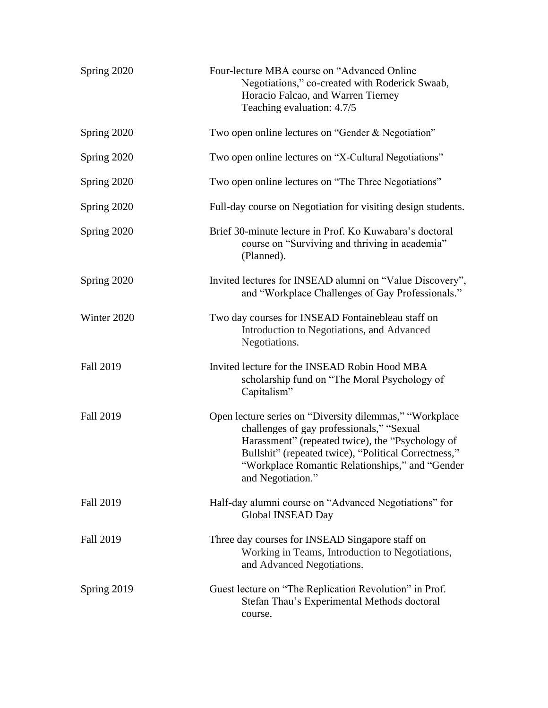| Spring 2020      | Four-lecture MBA course on "Advanced Online"<br>Negotiations," co-created with Roderick Swaab,<br>Horacio Falcao, and Warren Tierney<br>Teaching evaluation: 4.7/5                                                                                                                       |
|------------------|------------------------------------------------------------------------------------------------------------------------------------------------------------------------------------------------------------------------------------------------------------------------------------------|
| Spring 2020      | Two open online lectures on "Gender & Negotiation"                                                                                                                                                                                                                                       |
| Spring 2020      | Two open online lectures on "X-Cultural Negotiations"                                                                                                                                                                                                                                    |
| Spring 2020      | Two open online lectures on "The Three Negotiations"                                                                                                                                                                                                                                     |
| Spring 2020      | Full-day course on Negotiation for visiting design students.                                                                                                                                                                                                                             |
| Spring 2020      | Brief 30-minute lecture in Prof. Ko Kuwabara's doctoral<br>course on "Surviving and thriving in academia"<br>(Planned).                                                                                                                                                                  |
| Spring 2020      | Invited lectures for INSEAD alumni on "Value Discovery",<br>and "Workplace Challenges of Gay Professionals."                                                                                                                                                                             |
| Winter 2020      | Two day courses for INSEAD Fontainebleau staff on<br>Introduction to Negotiations, and Advanced<br>Negotiations.                                                                                                                                                                         |
| <b>Fall 2019</b> | Invited lecture for the INSEAD Robin Hood MBA<br>scholarship fund on "The Moral Psychology of<br>Capitalism"                                                                                                                                                                             |
| <b>Fall 2019</b> | Open lecture series on "Diversity dilemmas," "Workplace<br>challenges of gay professionals," "Sexual<br>Harassment" (repeated twice), the "Psychology of<br>Bullshit" (repeated twice), "Political Correctness,"<br>"Workplace Romantic Relationships," and "Gender<br>and Negotiation." |
| <b>Fall 2019</b> | Half-day alumni course on "Advanced Negotiations" for<br>Global INSEAD Day                                                                                                                                                                                                               |
| <b>Fall 2019</b> | Three day courses for INSEAD Singapore staff on<br>Working in Teams, Introduction to Negotiations,<br>and Advanced Negotiations.                                                                                                                                                         |
| Spring 2019      | Guest lecture on "The Replication Revolution" in Prof.<br>Stefan Thau's Experimental Methods doctoral<br>course.                                                                                                                                                                         |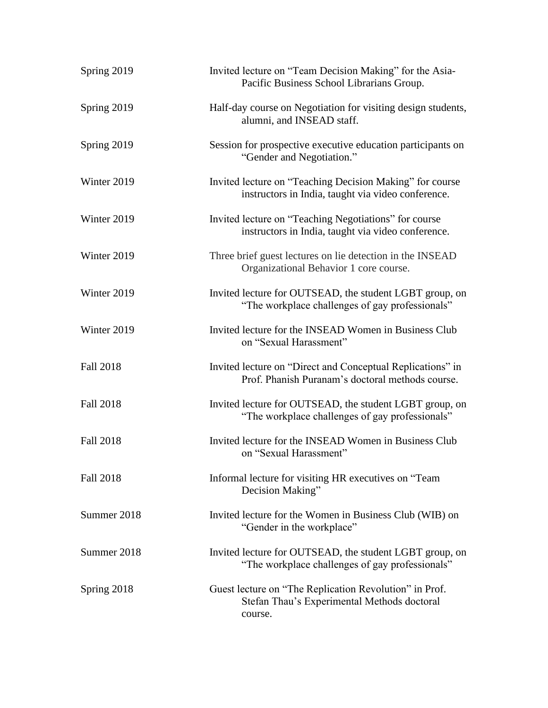| Spring 2019      | Invited lecture on "Team Decision Making" for the Asia-<br>Pacific Business School Librarians Group.             |
|------------------|------------------------------------------------------------------------------------------------------------------|
| Spring 2019      | Half-day course on Negotiation for visiting design students,<br>alumni, and INSEAD staff.                        |
| Spring 2019      | Session for prospective executive education participants on<br>"Gender and Negotiation."                         |
| Winter 2019      | Invited lecture on "Teaching Decision Making" for course<br>instructors in India, taught via video conference.   |
| Winter 2019      | Invited lecture on "Teaching Negotiations" for course<br>instructors in India, taught via video conference.      |
| Winter 2019      | Three brief guest lectures on lie detection in the INSEAD<br>Organizational Behavior 1 core course.              |
| Winter 2019      | Invited lecture for OUTSEAD, the student LGBT group, on<br>"The workplace challenges of gay professionals"       |
| Winter 2019      | Invited lecture for the INSEAD Women in Business Club<br>on "Sexual Harassment"                                  |
| <b>Fall 2018</b> | Invited lecture on "Direct and Conceptual Replications" in<br>Prof. Phanish Puranam's doctoral methods course.   |
| <b>Fall 2018</b> | Invited lecture for OUTSEAD, the student LGBT group, on<br>"The workplace challenges of gay professionals"       |
| <b>Fall 2018</b> | Invited lecture for the INSEAD Women in Business Club<br>on "Sexual Harassment"                                  |
| <b>Fall 2018</b> | Informal lecture for visiting HR executives on "Team"<br>Decision Making"                                        |
| Summer 2018      | Invited lecture for the Women in Business Club (WIB) on<br>"Gender in the workplace"                             |
| Summer 2018      | Invited lecture for OUTSEAD, the student LGBT group, on<br>"The workplace challenges of gay professionals"       |
| Spring 2018      | Guest lecture on "The Replication Revolution" in Prof.<br>Stefan Thau's Experimental Methods doctoral<br>course. |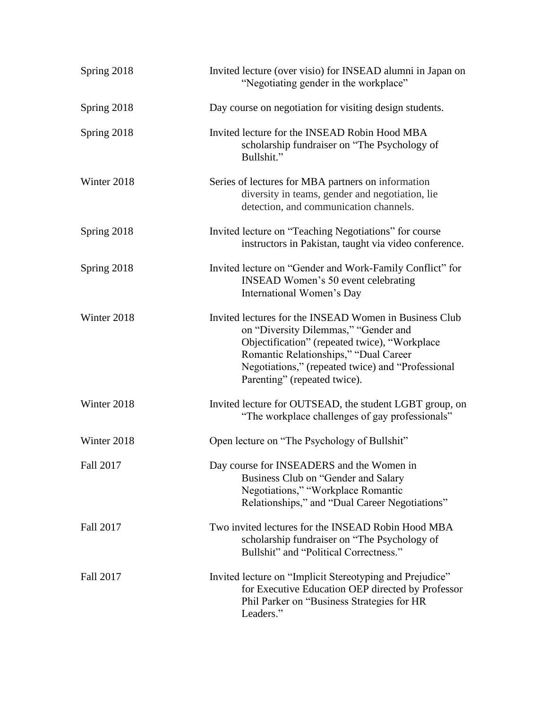| Spring 2018      | Invited lecture (over visio) for INSEAD alumni in Japan on<br>"Negotiating gender in the workplace"                                                                                                                                                                           |
|------------------|-------------------------------------------------------------------------------------------------------------------------------------------------------------------------------------------------------------------------------------------------------------------------------|
| Spring 2018      | Day course on negotiation for visiting design students.                                                                                                                                                                                                                       |
| Spring 2018      | Invited lecture for the INSEAD Robin Hood MBA<br>scholarship fundraiser on "The Psychology of<br>Bullshit."                                                                                                                                                                   |
| Winter 2018      | Series of lectures for MBA partners on information<br>diversity in teams, gender and negotiation, lie<br>detection, and communication channels.                                                                                                                               |
| Spring 2018      | Invited lecture on "Teaching Negotiations" for course<br>instructors in Pakistan, taught via video conference.                                                                                                                                                                |
| Spring 2018      | Invited lecture on "Gender and Work-Family Conflict" for<br><b>INSEAD Women's 50 event celebrating</b><br>International Women's Day                                                                                                                                           |
| Winter 2018      | Invited lectures for the INSEAD Women in Business Club<br>on "Diversity Dilemmas," "Gender and<br>Objectification" (repeated twice), "Workplace<br>Romantic Relationships," "Dual Career<br>Negotiations," (repeated twice) and "Professional<br>Parenting" (repeated twice). |
| Winter 2018      | Invited lecture for OUTSEAD, the student LGBT group, on<br>"The workplace challenges of gay professionals"                                                                                                                                                                    |
| Winter 2018      | Open lecture on "The Psychology of Bullshit"                                                                                                                                                                                                                                  |
| <b>Fall 2017</b> | Day course for INSEADERS and the Women in<br>Business Club on "Gender and Salary<br>Negotiations," "Workplace Romantic<br>Relationships," and "Dual Career Negotiations"                                                                                                      |
| Fall 2017        | Two invited lectures for the INSEAD Robin Hood MBA<br>scholarship fundraiser on "The Psychology of<br>Bullshit" and "Political Correctness."                                                                                                                                  |
| Fall 2017        | Invited lecture on "Implicit Stereotyping and Prejudice"<br>for Executive Education OEP directed by Professor<br>Phil Parker on "Business Strategies for HR<br>Leaders."                                                                                                      |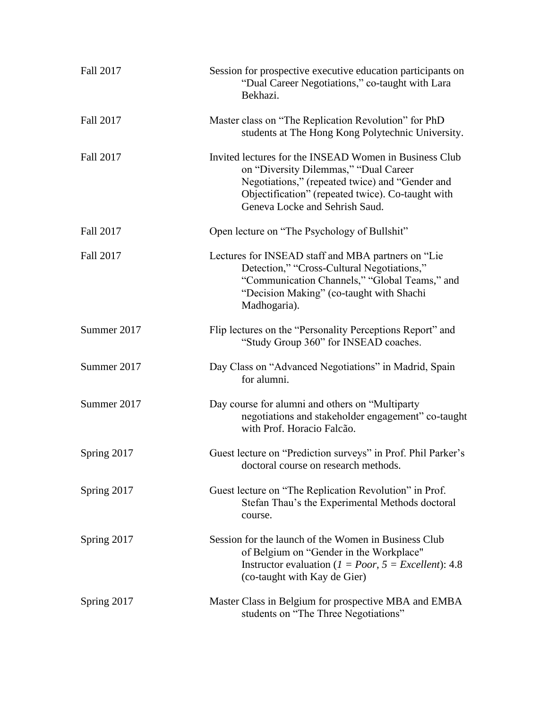| Fall 2017   | Session for prospective executive education participants on<br>"Dual Career Negotiations," co-taught with Lara<br>Bekhazi.                                                                                                                |
|-------------|-------------------------------------------------------------------------------------------------------------------------------------------------------------------------------------------------------------------------------------------|
| Fall 2017   | Master class on "The Replication Revolution" for PhD<br>students at The Hong Kong Polytechnic University.                                                                                                                                 |
| Fall 2017   | Invited lectures for the INSEAD Women in Business Club<br>on "Diversity Dilemmas," "Dual Career<br>Negotiations," (repeated twice) and "Gender and<br>Objectification" (repeated twice). Co-taught with<br>Geneva Locke and Sehrish Saud. |
| Fall 2017   | Open lecture on "The Psychology of Bullshit"                                                                                                                                                                                              |
| Fall 2017   | Lectures for INSEAD staff and MBA partners on "Lie<br>Detection," "Cross-Cultural Negotiations,"<br>"Communication Channels," "Global Teams," and<br>"Decision Making" (co-taught with Shachi<br>Madhogaria).                             |
| Summer 2017 | Flip lectures on the "Personality Perceptions Report" and<br>"Study Group 360" for INSEAD coaches.                                                                                                                                        |
| Summer 2017 | Day Class on "Advanced Negotiations" in Madrid, Spain<br>for alumni.                                                                                                                                                                      |
| Summer 2017 | Day course for alumni and others on "Multiparty"<br>negotiations and stakeholder engagement" co-taught<br>with Prof. Horacio Falcão.                                                                                                      |
| Spring 2017 | Guest lecture on "Prediction surveys" in Prof. Phil Parker's<br>doctoral course on research methods.                                                                                                                                      |
| Spring 2017 | Guest lecture on "The Replication Revolution" in Prof.<br>Stefan Thau's the Experimental Methods doctoral<br>course.                                                                                                                      |
| Spring 2017 | Session for the launch of the Women in Business Club<br>of Belgium on "Gender in the Workplace"<br>Instructor evaluation ( $1 = Poor$ , $5 = Excel lent$ ): 4.8<br>(co-taught with Kay de Gier)                                           |
| Spring 2017 | Master Class in Belgium for prospective MBA and EMBA<br>students on "The Three Negotiations"                                                                                                                                              |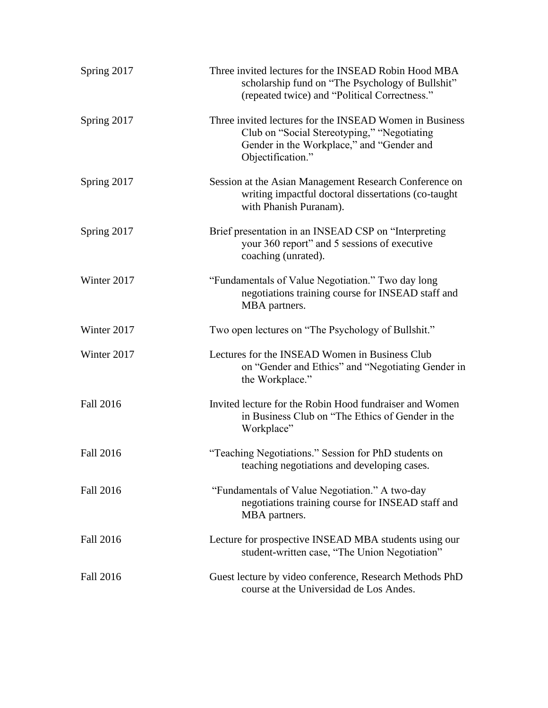| Spring 2017      | Three invited lectures for the INSEAD Robin Hood MBA<br>scholarship fund on "The Psychology of Bullshit"<br>(repeated twice) and "Political Correctness."                |
|------------------|--------------------------------------------------------------------------------------------------------------------------------------------------------------------------|
| Spring 2017      | Three invited lectures for the INSEAD Women in Business<br>Club on "Social Stereotyping," "Negotiating<br>Gender in the Workplace," and "Gender and<br>Objectification." |
| Spring 2017      | Session at the Asian Management Research Conference on<br>writing impactful doctoral dissertations (co-taught<br>with Phanish Puranam).                                  |
| Spring 2017      | Brief presentation in an INSEAD CSP on "Interpreting<br>your 360 report" and 5 sessions of executive<br>coaching (unrated).                                              |
| Winter 2017      | "Fundamentals of Value Negotiation." Two day long<br>negotiations training course for INSEAD staff and<br>MBA partners.                                                  |
| Winter 2017      | Two open lectures on "The Psychology of Bullshit."                                                                                                                       |
| Winter 2017      | Lectures for the INSEAD Women in Business Club<br>on "Gender and Ethics" and "Negotiating Gender in<br>the Workplace."                                                   |
| <b>Fall 2016</b> | Invited lecture for the Robin Hood fundraiser and Women<br>in Business Club on "The Ethics of Gender in the<br>Workplace"                                                |
| <b>Fall 2016</b> | "Teaching Negotiations." Session for PhD students on<br>teaching negotiations and developing cases.                                                                      |
| <b>Fall 2016</b> | "Fundamentals of Value Negotiation." A two-day<br>negotiations training course for INSEAD staff and<br>MBA partners.                                                     |
| <b>Fall 2016</b> | Lecture for prospective INSEAD MBA students using our<br>student-written case, "The Union Negotiation"                                                                   |
| <b>Fall 2016</b> | Guest lecture by video conference, Research Methods PhD<br>course at the Universidad de Los Andes.                                                                       |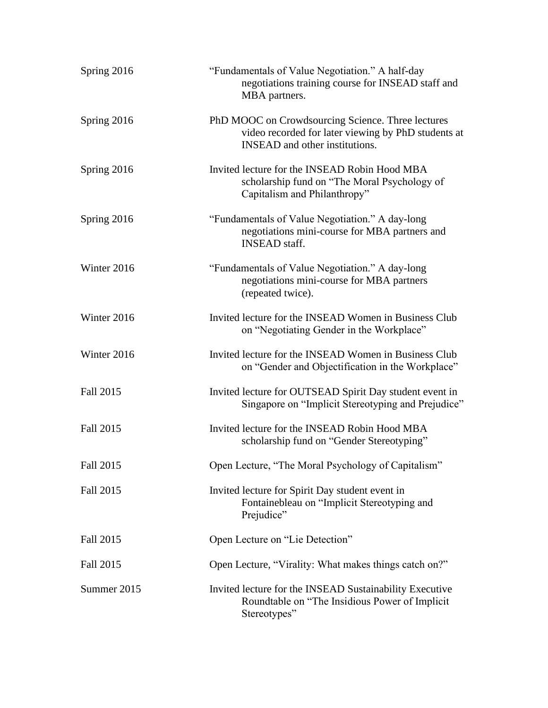| Spring 2016      | "Fundamentals of Value Negotiation." A half-day<br>negotiations training course for INSEAD staff and<br>MBA partners.                             |
|------------------|---------------------------------------------------------------------------------------------------------------------------------------------------|
| Spring 2016      | PhD MOOC on Crowdsourcing Science. Three lectures<br>video recorded for later viewing by PhD students at<br><b>INSEAD</b> and other institutions. |
| Spring 2016      | Invited lecture for the INSEAD Robin Hood MBA<br>scholarship fund on "The Moral Psychology of<br>Capitalism and Philanthropy"                     |
| Spring 2016      | "Fundamentals of Value Negotiation." A day-long<br>negotiations mini-course for MBA partners and<br><b>INSEAD</b> staff.                          |
| Winter 2016      | "Fundamentals of Value Negotiation." A day-long<br>negotiations mini-course for MBA partners<br>(repeated twice).                                 |
| Winter 2016      | Invited lecture for the INSEAD Women in Business Club<br>on "Negotiating Gender in the Workplace"                                                 |
| Winter 2016      | Invited lecture for the INSEAD Women in Business Club<br>on "Gender and Objectification in the Workplace"                                         |
| Fall 2015        | Invited lecture for OUTSEAD Spirit Day student event in<br>Singapore on "Implicit Stereotyping and Prejudice"                                     |
| Fall 2015        | Invited lecture for the INSEAD Robin Hood MBA<br>scholarship fund on "Gender Stereotyping"                                                        |
| <b>Fall 2015</b> | Open Lecture, "The Moral Psychology of Capitalism"                                                                                                |
| <b>Fall 2015</b> | Invited lecture for Spirit Day student event in<br>Fontainebleau on "Implicit Stereotyping and<br>Prejudice"                                      |
| Fall 2015        | Open Lecture on "Lie Detection"                                                                                                                   |
| Fall 2015        | Open Lecture, "Virality: What makes things catch on?"                                                                                             |
| Summer 2015      | Invited lecture for the INSEAD Sustainability Executive<br>Roundtable on "The Insidious Power of Implicit<br>Stereotypes"                         |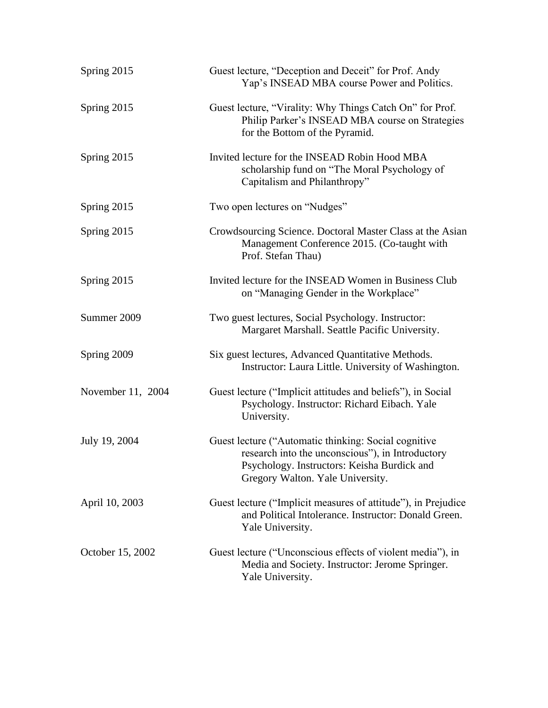| Spring 2015       | Guest lecture, "Deception and Deceit" for Prof. Andy<br>Yap's INSEAD MBA course Power and Politics.                                                                                         |
|-------------------|---------------------------------------------------------------------------------------------------------------------------------------------------------------------------------------------|
| Spring 2015       | Guest lecture, "Virality: Why Things Catch On" for Prof.<br>Philip Parker's INSEAD MBA course on Strategies<br>for the Bottom of the Pyramid.                                               |
| Spring 2015       | Invited lecture for the INSEAD Robin Hood MBA<br>scholarship fund on "The Moral Psychology of<br>Capitalism and Philanthropy"                                                               |
| Spring 2015       | Two open lectures on "Nudges"                                                                                                                                                               |
| Spring 2015       | Crowdsourcing Science. Doctoral Master Class at the Asian<br>Management Conference 2015. (Co-taught with<br>Prof. Stefan Thau)                                                              |
| Spring 2015       | Invited lecture for the INSEAD Women in Business Club<br>on "Managing Gender in the Workplace"                                                                                              |
| Summer 2009       | Two guest lectures, Social Psychology. Instructor:<br>Margaret Marshall. Seattle Pacific University.                                                                                        |
| Spring 2009       | Six guest lectures, Advanced Quantitative Methods.<br>Instructor: Laura Little. University of Washington.                                                                                   |
| November 11, 2004 | Guest lecture ("Implicit attitudes and beliefs"), in Social<br>Psychology. Instructor: Richard Eibach. Yale<br>University.                                                                  |
| July 19, 2004     | Guest lecture ("Automatic thinking: Social cognitive<br>research into the unconscious"), in Introductory<br>Psychology. Instructors: Keisha Burdick and<br>Gregory Walton. Yale University. |
| April 10, 2003    | Guest lecture ("Implicit measures of attitude"), in Prejudice<br>and Political Intolerance. Instructor: Donald Green.<br>Yale University.                                                   |
| October 15, 2002  | Guest lecture ("Unconscious effects of violent media"), in<br>Media and Society. Instructor: Jerome Springer.<br>Yale University.                                                           |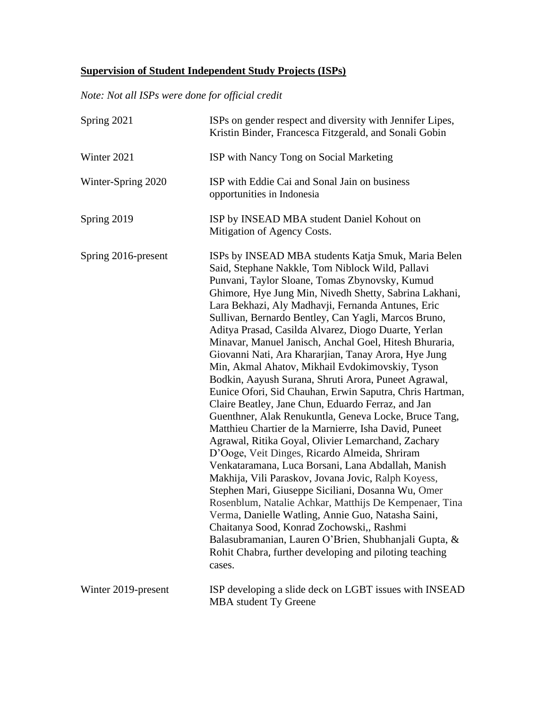# **Supervision of Student Independent Study Projects (ISPs)**

*Note: Not all ISPs were done for official credit*

| Spring 2021         | ISPs on gender respect and diversity with Jennifer Lipes,<br>Kristin Binder, Francesca Fitzgerald, and Sonali Gobin                                                                                                                                                                                                                                                                                                                                                                                                                                                                                                                                                                                                                                                                                                                                                                                                                                                                                                                                                                                                                                                                                                                                                                                                                                                                                                            |
|---------------------|--------------------------------------------------------------------------------------------------------------------------------------------------------------------------------------------------------------------------------------------------------------------------------------------------------------------------------------------------------------------------------------------------------------------------------------------------------------------------------------------------------------------------------------------------------------------------------------------------------------------------------------------------------------------------------------------------------------------------------------------------------------------------------------------------------------------------------------------------------------------------------------------------------------------------------------------------------------------------------------------------------------------------------------------------------------------------------------------------------------------------------------------------------------------------------------------------------------------------------------------------------------------------------------------------------------------------------------------------------------------------------------------------------------------------------|
| Winter 2021         | ISP with Nancy Tong on Social Marketing                                                                                                                                                                                                                                                                                                                                                                                                                                                                                                                                                                                                                                                                                                                                                                                                                                                                                                                                                                                                                                                                                                                                                                                                                                                                                                                                                                                        |
| Winter-Spring 2020  | ISP with Eddie Cai and Sonal Jain on business<br>opportunities in Indonesia                                                                                                                                                                                                                                                                                                                                                                                                                                                                                                                                                                                                                                                                                                                                                                                                                                                                                                                                                                                                                                                                                                                                                                                                                                                                                                                                                    |
| Spring 2019         | ISP by INSEAD MBA student Daniel Kohout on<br>Mitigation of Agency Costs.                                                                                                                                                                                                                                                                                                                                                                                                                                                                                                                                                                                                                                                                                                                                                                                                                                                                                                                                                                                                                                                                                                                                                                                                                                                                                                                                                      |
| Spring 2016-present | ISPs by INSEAD MBA students Katja Smuk, Maria Belen<br>Said, Stephane Nakkle, Tom Niblock Wild, Pallavi<br>Punvani, Taylor Sloane, Tomas Zbynovsky, Kumud<br>Ghimore, Hye Jung Min, Nivedh Shetty, Sabrina Lakhani,<br>Lara Bekhazi, Aly Madhavji, Fernanda Antunes, Eric<br>Sullivan, Bernardo Bentley, Can Yagli, Marcos Bruno,<br>Aditya Prasad, Casilda Alvarez, Diogo Duarte, Yerlan<br>Minavar, Manuel Janisch, Anchal Goel, Hitesh Bhuraria,<br>Giovanni Nati, Ara Khararjian, Tanay Arora, Hye Jung<br>Min, Akmal Ahatov, Mikhail Evdokimovskiy, Tyson<br>Bodkin, Aayush Surana, Shruti Arora, Puneet Agrawal,<br>Eunice Ofori, Sid Chauhan, Erwin Saputra, Chris Hartman,<br>Claire Beatley, Jane Chun, Eduardo Ferraz, and Jan<br>Guenthner, Alak Renukuntla, Geneva Locke, Bruce Tang,<br>Matthieu Chartier de la Marnierre, Isha David, Puneet<br>Agrawal, Ritika Goyal, Olivier Lemarchand, Zachary<br>D'Ooge, Veit Dinges, Ricardo Almeida, Shriram<br>Venkataramana, Luca Borsani, Lana Abdallah, Manish<br>Makhija, Vili Paraskov, Jovana Jovic, Ralph Koyess,<br>Stephen Mari, Giuseppe Siciliani, Dosanna Wu, Omer<br>Rosenblum, Natalie Achkar, Matthijs De Kempenaer, Tina<br>Verma, Danielle Watling, Annie Guo, Natasha Saini,<br>Chaitanya Sood, Konrad Zochowski,, Rashmi<br>Balasubramanian, Lauren O'Brien, Shubhanjali Gupta, &<br>Rohit Chabra, further developing and piloting teaching<br>cases. |
| Winter 2019-present | ISP developing a slide deck on LGBT issues with INSEAD<br>MBA student Ty Greene                                                                                                                                                                                                                                                                                                                                                                                                                                                                                                                                                                                                                                                                                                                                                                                                                                                                                                                                                                                                                                                                                                                                                                                                                                                                                                                                                |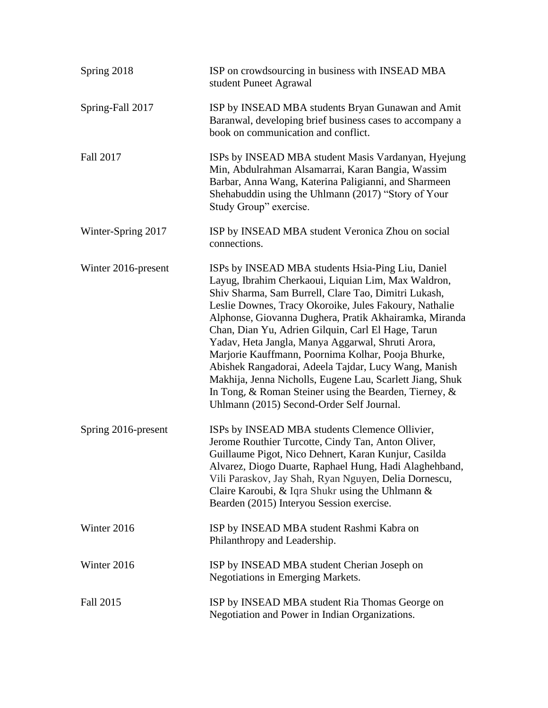| Spring 2018         | ISP on crowdsourcing in business with INSEAD MBA<br>student Puneet Agrawal                                                                                                                                                                                                                                                                                                                                                                                                                                                                                                                                                                                                        |
|---------------------|-----------------------------------------------------------------------------------------------------------------------------------------------------------------------------------------------------------------------------------------------------------------------------------------------------------------------------------------------------------------------------------------------------------------------------------------------------------------------------------------------------------------------------------------------------------------------------------------------------------------------------------------------------------------------------------|
| Spring-Fall 2017    | ISP by INSEAD MBA students Bryan Gunawan and Amit<br>Baranwal, developing brief business cases to accompany a<br>book on communication and conflict.                                                                                                                                                                                                                                                                                                                                                                                                                                                                                                                              |
| Fall 2017           | ISPs by INSEAD MBA student Masis Vardanyan, Hyejung<br>Min, Abdulrahman Alsamarrai, Karan Bangia, Wassim<br>Barbar, Anna Wang, Katerina Paligianni, and Sharmeen<br>Shehabuddin using the Uhlmann (2017) "Story of Your<br>Study Group" exercise.                                                                                                                                                                                                                                                                                                                                                                                                                                 |
| Winter-Spring 2017  | ISP by INSEAD MBA student Veronica Zhou on social<br>connections.                                                                                                                                                                                                                                                                                                                                                                                                                                                                                                                                                                                                                 |
| Winter 2016-present | ISPs by INSEAD MBA students Hsia-Ping Liu, Daniel<br>Layug, Ibrahim Cherkaoui, Liquian Lim, Max Waldron,<br>Shiv Sharma, Sam Burrell, Clare Tao, Dimitri Lukash,<br>Leslie Downes, Tracy Okoroike, Jules Fakoury, Nathalie<br>Alphonse, Giovanna Dughera, Pratik Akhairamka, Miranda<br>Chan, Dian Yu, Adrien Gilquin, Carl El Hage, Tarun<br>Yadav, Heta Jangla, Manya Aggarwal, Shruti Arora,<br>Marjorie Kauffmann, Poornima Kolhar, Pooja Bhurke,<br>Abishek Rangadorai, Adeela Tajdar, Lucy Wang, Manish<br>Makhija, Jenna Nicholls, Eugene Lau, Scarlett Jiang, Shuk<br>In Tong, & Roman Steiner using the Bearden, Tierney, &<br>Uhlmann (2015) Second-Order Self Journal. |
| Spring 2016-present | ISPs by INSEAD MBA students Clemence Ollivier,<br>Jerome Routhier Turcotte, Cindy Tan, Anton Oliver,<br>Guillaume Pigot, Nico Dehnert, Karan Kunjur, Casilda<br>Alvarez, Diogo Duarte, Raphael Hung, Hadi Alaghehband,<br>Vili Paraskov, Jay Shah, Ryan Nguyen, Delia Dornescu,<br>Claire Karoubi, & Iqra Shukr using the Uhlmann &<br>Bearden (2015) Interyou Session exercise.                                                                                                                                                                                                                                                                                                  |
| Winter 2016         | ISP by INSEAD MBA student Rashmi Kabra on<br>Philanthropy and Leadership.                                                                                                                                                                                                                                                                                                                                                                                                                                                                                                                                                                                                         |
| Winter 2016         | ISP by INSEAD MBA student Cherian Joseph on<br>Negotiations in Emerging Markets.                                                                                                                                                                                                                                                                                                                                                                                                                                                                                                                                                                                                  |
| Fall 2015           | ISP by INSEAD MBA student Ria Thomas George on<br>Negotiation and Power in Indian Organizations.                                                                                                                                                                                                                                                                                                                                                                                                                                                                                                                                                                                  |